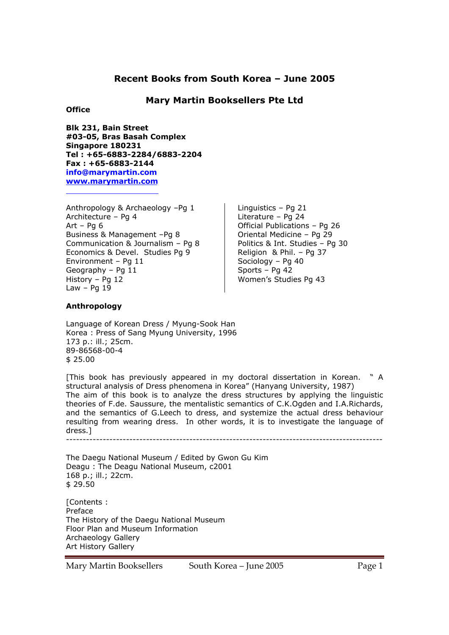# **Recent Books from South Korea – June 2005**

## **Mary Martin Booksellers Pte Ltd**

## **Office**

**Blk 231, Bain Street #03-05, Bras Basah Complex Singapore 180231 Tel : +65-6883-2284/6883-2204 Fax : +65-6883-2144 info@marymartin.com www.marymartin.com**

Anthropology & Archaeology –Pg 1 Architecture – Pg 4 Art – Pg  $6$ Business & Management –Pg 8 Communication & Journalism – Pg 8 Economics & Devel. Studies Pg 9 Environment – Pg 11 Geography – Pg 11 History – Pg 12 Law –  $Pq 19$ 

Linguistics – Pg 21 Literature – Pg 24 Official Publications – Pg 26 Oriental Medicine – Pg 29 Politics & Int. Studies – Pg 30 Religion & Phil. – Pg 37 Sociology – Pg 40 Sports – Pg 42 Women's Studies Pg 43

## **Anthropology**

Language of Korean Dress / Myung-Sook Han Korea : Press of Sang Myung University, 1996 173 p.: ill.; 25cm. 89-86568-00-4 \$ 25.00

[This book has previously appeared in my doctoral dissertation in Korean. " A structural analysis of Dress phenomena in Korea" (Hanyang University, 1987) The aim of this book is to analyze the dress structures by applying the linguistic theories of F.de. Saussure, the mentalistic semantics of C.K.Ogden and I.A.Richards, and the semantics of G.Leech to dress, and systemize the actual dress behaviour resulting from wearing dress. In other words, it is to investigate the language of dress.]  $-$ 

The Daegu National Museum / Edited by Gwon Gu Kim Deagu : The Deagu National Museum, c2001 168 p.; ill.; 22cm. \$ 29.50

[Contents : Preface The History of the Daegu National Museum Floor Plan and Museum Information Archaeology Gallery Art History Gallery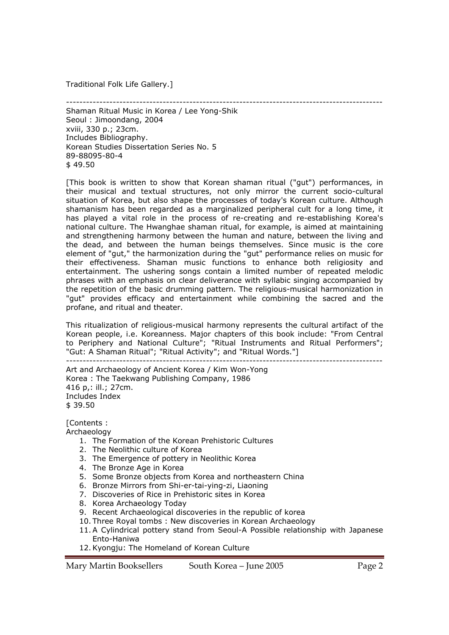Traditional Folk Life Gallery.]

-----------------------------------------------------------------------------------------------

Shaman Ritual Music in Korea / Lee Yong-Shik Seoul : Jimoondang, 2004 xviii, 330 p.; 23cm. Includes Bibliography. Korean Studies Dissertation Series No. 5 89-88095-80-4 \$ 49.50

[This book is written to show that Korean shaman ritual ("gut") performances, in their musical and textual structures, not only mirror the current socio-cultural situation of Korea, but also shape the processes of today's Korean culture. Although shamanism has been regarded as a marginalized peripheral cult for a long time, it has played a vital role in the process of re-creating and re-establishing Korea's national culture. The Hwanghae shaman ritual, for example, is aimed at maintaining and strengthening harmony between the human and nature, between the living and the dead, and between the human beings themselves. Since music is the core element of "gut," the harmonization during the "gut" performance relies on music for their effectiveness. Shaman music functions to enhance both religiosity and entertainment. The ushering songs contain a limited number of repeated melodic phrases with an emphasis on clear deliverance with syllabic singing accompanied by the repetition of the basic drumming pattern. The religious-musical harmonization in "gut" provides efficacy and entertainment while combining the sacred and the profane, and ritual and theater.

This ritualization of religious-musical harmony represents the cultural artifact of the Korean people, i.e. Koreanness. Major chapters of this book include: "From Central to Periphery and National Culture"; "Ritual Instruments and Ritual Performers"; "Gut: A Shaman Ritual"; "Ritual Activity"; and "Ritual Words."]

-----------------------------------------------------------------------------------------------

Art and Archaeology of Ancient Korea / Kim Won-Yong Korea : The Taekwang Publishing Company, 1986 416 p,: ill.; 27cm. Includes Index

\$ 39.50

[Contents :

- Archaeology
	- 1. The Formation of the Korean Prehistoric Cultures
	- 2. The Neolithic culture of Korea
	- 3. The Emergence of pottery in Neolithic Korea
	- 4. The Bronze Age in Korea
	- 5. Some Bronze objects from Korea and northeastern China
	- 6. Bronze Mirrors from Shi-er-tai-ying-zi, Liaoning
	- 7. Discoveries of Rice in Prehistoric sites in Korea
	- 8. Korea Archaeology Today
	- 9. Recent Archaeological discoveries in the republic of korea
	- 10. Three Royal tombs : New discoveries in Korean Archaeology
	- 11.A Cylindrical pottery stand from Seoul-A Possible relationship with Japanese Ento-Haniwa
	- 12.Kyongju: The Homeland of Korean Culture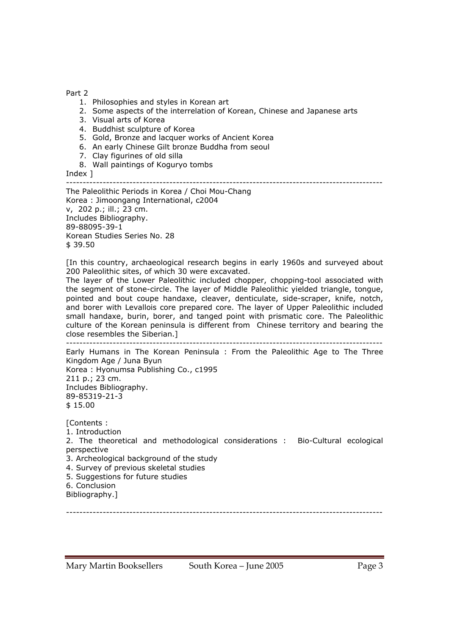Part 2

- 1. Philosophies and styles in Korean art
- 2. Some aspects of the interrelation of Korean, Chinese and Japanese arts
- 3. Visual arts of Korea
- 4. Buddhist sculpture of Korea
- 5. Gold, Bronze and lacquer works of Ancient Korea
- 6. An early Chinese Gilt bronze Buddha from seoul
- 7. Clay figurines of old silla
- 8. Wall paintings of Koguryo tombs

Index ]

#### -----------------------------------------------------------------------------------------------

The Paleolithic Periods in Korea / Choi Mou-Chang Korea : Jimoongang International, c2004 v, 202 p.; ill.; 23 cm. Includes Bibliography. 89-88095-39-1 Korean Studies Series No. 28 \$ 39.50

[In this country, archaeological research begins in early 1960s and surveyed about 200 Paleolithic sites, of which 30 were excavated.

The layer of the Lower Paleolithic included chopper, chopping-tool associated with the segment of stone-circle. The layer of Middle Paleolithic yielded triangle, tongue, pointed and bout coupe handaxe, cleaver, denticulate, side-scraper, knife, notch, and borer with Levallois core prepared core. The layer of Upper Paleolithic included small handaxe, burin, borer, and tanged point with prismatic core. The Paleolithic culture of the Korean peninsula is different from Chinese territory and bearing the close resembles the Siberian.] -----------------------------------------------------------------------------------------------

Early Humans in The Korean Peninsula : From the Paleolithic Age to The Three Kingdom Age / Juna Byun Korea : Hyonumsa Publishing Co., c1995 211 p.; 23 cm. Includes Bibliography. 89-85319-21-3 \$ 15.00

[Contents :

1. Introduction

2. The theoretical and methodological considerations : Bio-Cultural ecological perspective

3. Archeological background of the study

4. Survey of previous skeletal studies

5. Suggestions for future studies

6. Conclusion

Bibliography.]

-----------------------------------------------------------------------------------------------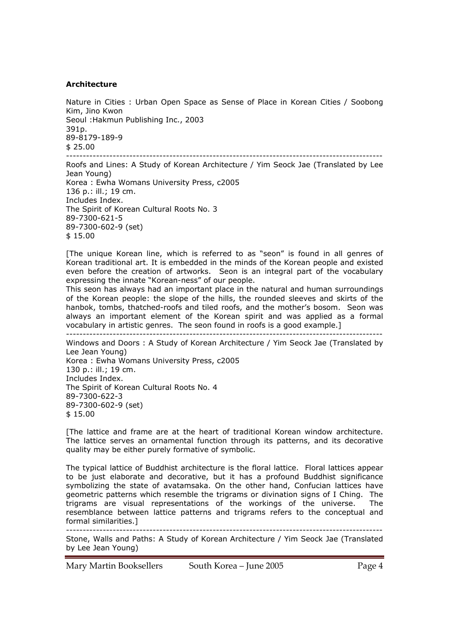### **Architecture**

Nature in Cities : Urban Open Space as Sense of Place in Korean Cities / Soobong Kim, Jino Kwon Seoul :Hakmun Publishing Inc., 2003 391p. 89-8179-189-9  $$25.00$ -----------------------------------------------------------------------------------------------

Roofs and Lines: A Study of Korean Architecture / Yim Seock Jae (Translated by Lee Jean Young) Korea : Ewha Womans University Press, c2005 136 p.: ill.; 19 cm. Includes Index. The Spirit of Korean Cultural Roots No. 3 89-7300-621-5 89-7300-602-9 (set) \$ 15.00

[The unique Korean line, which is referred to as "seon" is found in all genres of Korean traditional art. It is embedded in the minds of the Korean people and existed even before the creation of artworks. Seon is an integral part of the vocabulary expressing the innate "Korean-ness" of our people.

This seon has always had an important place in the natural and human surroundings of the Korean people: the slope of the hills, the rounded sleeves and skirts of the hanbok, tombs, thatched-roofs and tiled roofs, and the mother's bosom. Seon was always an important element of the Korean spirit and was applied as a formal vocabulary in artistic genres. The seon found in roofs is a good example.]

-----------------------------------------------------------------------------------------------

Windows and Doors : A Study of Korean Architecture / Yim Seock Jae (Translated by Lee Jean Young) Korea : Ewha Womans University Press, c2005 130 p.: ill.; 19 cm. Includes Index. The Spirit of Korean Cultural Roots No. 4 89-7300-622-3 89-7300-602-9 (set) \$ 15.00

[The lattice and frame are at the heart of traditional Korean window architecture. The lattice serves an ornamental function through its patterns, and its decorative quality may be either purely formative of symbolic.

The typical lattice of Buddhist architecture is the floral lattice. Floral lattices appear to be just elaborate and decorative, but it has a profound Buddhist significance symbolizing the state of avatamsaka. On the other hand, Confucian lattices have geometric patterns which resemble the trigrams or divination signs of I Ching. The trigrams are visual representations of the workings of the universe. The resemblance between lattice patterns and trigrams refers to the conceptual and formal similarities.]

----------------------------------------------------------------------------------------------- Stone, Walls and Paths: A Study of Korean Architecture / Yim Seock Jae (Translated by Lee Jean Young)

Mary Martin Booksellers South Korea – June 2005 Page 4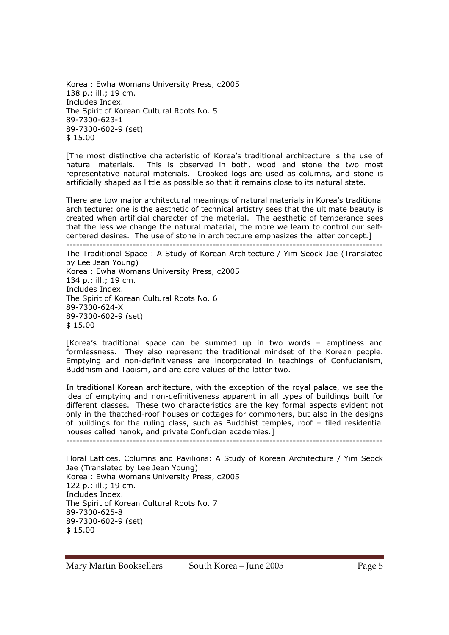Korea : Ewha Womans University Press, c2005 138 p.: ill.; 19 cm. Includes Index. The Spirit of Korean Cultural Roots No. 5 89-7300-623-1 89-7300-602-9 (set) \$ 15.00

[The most distinctive characteristic of Korea's traditional architecture is the use of natural materials. This is observed in both, wood and stone the two most representative natural materials. Crooked logs are used as columns, and stone is artificially shaped as little as possible so that it remains close to its natural state.

There are tow major architectural meanings of natural materials in Korea's traditional architecture: one is the aesthetic of technical artistry sees that the ultimate beauty is created when artificial character of the material. The aesthetic of temperance sees that the less we change the natural material, the more we learn to control our selfcentered desires. The use of stone in architecture emphasizes the latter concept.]

-----------------------------------------------------------------------------------------------

The Traditional Space : A Study of Korean Architecture / Yim Seock Jae (Translated by Lee Jean Young) Korea : Ewha Womans University Press, c2005 134 p.: ill.; 19 cm. Includes Index. The Spirit of Korean Cultural Roots No. 6 89-7300-624-X 89-7300-602-9 (set) \$ 15.00

[Korea's traditional space can be summed up in two words – emptiness and formlessness. They also represent the traditional mindset of the Korean people. Emptying and non-definitiveness are incorporated in teachings of Confucianism, Buddhism and Taoism, and are core values of the latter two.

In traditional Korean architecture, with the exception of the royal palace, we see the idea of emptying and non-definitiveness apparent in all types of buildings built for different classes. These two characteristics are the key formal aspects evident not only in the thatched-roof houses or cottages for commoners, but also in the designs of buildings for the ruling class, such as Buddhist temples, roof – tiled residential houses called hanok, and private Confucian academies.]

-----------------------------------------------------------------------------------------------

Floral Lattices, Columns and Pavilions: A Study of Korean Architecture / Yim Seock Jae (Translated by Lee Jean Young) Korea : Ewha Womans University Press, c2005 122 p.: ill.; 19 cm. Includes Index. The Spirit of Korean Cultural Roots No. 7 89-7300-625-8 89-7300-602-9 (set) \$ 15.00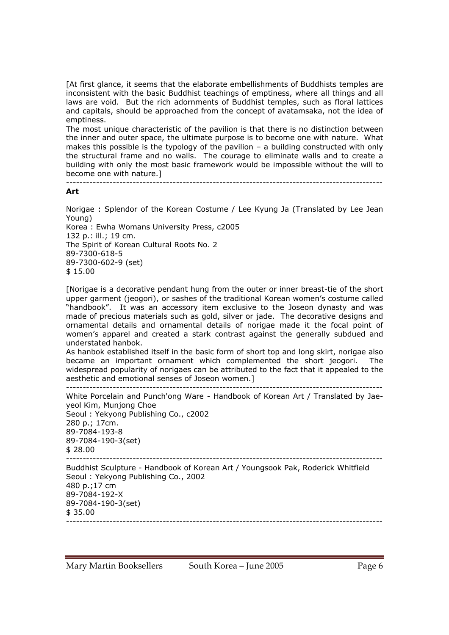[At first glance, it seems that the elaborate embellishments of Buddhists temples are inconsistent with the basic Buddhist teachings of emptiness, where all things and all laws are void. But the rich adornments of Buddhist temples, such as floral lattices and capitals, should be approached from the concept of avatamsaka, not the idea of emptiness.

The most unique characteristic of the pavilion is that there is no distinction between the inner and outer space, the ultimate purpose is to become one with nature. What makes this possible is the typology of the pavilion – a building constructed with only the structural frame and no walls. The courage to eliminate walls and to create a building with only the most basic framework would be impossible without the will to become one with nature.]

#### ----------------------------------------------------------------------------------------------- **Art**

Norigae : Splendor of the Korean Costume / Lee Kyung Ja (Translated by Lee Jean Young) Korea : Ewha Womans University Press, c2005

132 p.: ill.; 19 cm.

The Spirit of Korean Cultural Roots No. 2

89-7300-618-5

89-7300-602-9 (set)

\$ 15.00

[Norigae is a decorative pendant hung from the outer or inner breast-tie of the short upper garment (jeogori), or sashes of the traditional Korean women's costume called "handbook". It was an accessory item exclusive to the Joseon dynasty and was made of precious materials such as gold, silver or jade. The decorative designs and ornamental details and ornamental details of norigae made it the focal point of women's apparel and created a stark contrast against the generally subdued and understated hanbok.

As hanbok established itself in the basic form of short top and long skirt, norigae also became an important ornament which complemented the short jeogori. The widespread popularity of norigaes can be attributed to the fact that it appealed to the aesthetic and emotional senses of Joseon women.]

```
----------------------------------------------------------------------------------------------- 
White Porcelain and Punch'ong Ware - Handbook of Korean Art / Translated by Jae-
yeol Kim, Munjong Choe 
Seoul : Yekyong Publishing Co., c2002 
280 p.; 17cm. 
89-7084-193-8 
89-7084-190-3(set) 
$28.00----------------------------------------------------------------------------------------------- 
Buddhist Sculpture - Handbook of Korean Art / Youngsook Pak, Roderick Whitfield 
Seoul : Yekyong Publishing Co., 2002 
480 p.;17 cm
```
89-7084-192-X 89-7084-190-3(set) \$ 35.00 -----------------------------------------------------------------------------------------------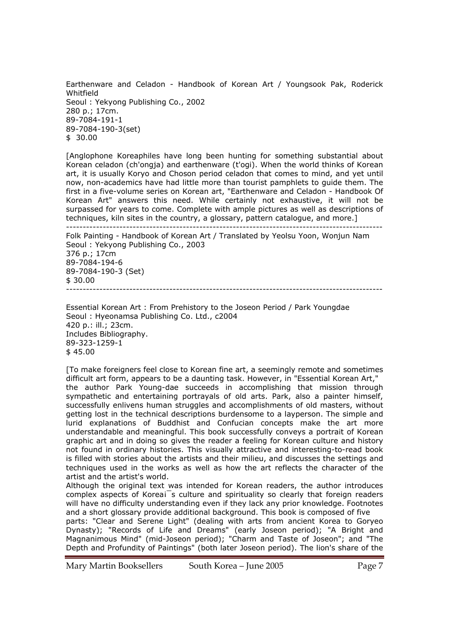Earthenware and Celadon - Handbook of Korean Art / Youngsook Pak, Roderick Whitfield Seoul : Yekyong Publishing Co., 2002 280 p.; 17cm. 89-7084-191-1 89-7084-190-3(set) \$ 30.00

[Anglophone Koreaphiles have long been hunting for something substantial about Korean celadon (ch'ongja) and earthenware (t'ogi). When the world thinks of Korean art, it is usually Koryo and Choson period celadon that comes to mind, and yet until now, non-academics have had little more than tourist pamphlets to guide them. The first in a five-volume series on Korean art, "Earthenware and Celadon - Handbook Of Korean Art" answers this need. While certainly not exhaustive, it will not be surpassed for years to come. Complete with ample pictures as well as descriptions of techniques, kiln sites in the country, a glossary, pattern catalogue, and more.]

----------------------------------------------------------------------------------------------- Folk Painting - Handbook of Korean Art / Translated by Yeolsu Yoon, Wonjun Nam Seoul : Yekyong Publishing Co., 2003 376 p.; 17cm 89-7084-194-6 89-7084-190-3 (Set) \$ 30.00 -----------------------------------------------------------------------------------------------

Essential Korean Art : From Prehistory to the Joseon Period / Park Youngdae Seoul : Hyeonamsa Publishing Co. Ltd., c2004 420 p.: ill.; 23cm. Includes Bibliography. 89-323-1259-1 \$ 45.00

[To make foreigners feel close to Korean fine art, a seemingly remote and sometimes difficult art form, appears to be a daunting task. However, in "Essential Korean Art," the author Park Young-dae succeeds in accomplishing that mission through sympathetic and entertaining portrayals of old arts. Park, also a painter himself, successfully enlivens human struggles and accomplishments of old masters, without getting lost in the technical descriptions burdensome to a layperson. The simple and lurid explanations of Buddhist and Confucian concepts make the art more understandable and meaningful. This book successfully conveys a portrait of Korean graphic art and in doing so gives the reader a feeling for Korean culture and history not found in ordinary histories. This visually attractive and interesting-to-read book is filled with stories about the artists and their milieu, and discusses the settings and techniques used in the works as well as how the art reflects the character of the artist and the artist's world.

Although the original text was intended for Korean readers, the author introduces complex aspects of Koreai<sup>S</sup>s culture and spirituality so clearly that foreign readers will have no difficulty understanding even if they lack any prior knowledge. Footnotes and a short glossary provide additional background. This book is composed of five

parts: "Clear and Serene Light" (dealing with arts from ancient Korea to Goryeo Dynasty); "Records of Life and Dreams" (early Joseon period); "A Bright and Magnanimous Mind" (mid-Joseon period); "Charm and Taste of Joseon"; and "The Depth and Profundity of Paintings" (both later Joseon period). The lion's share of the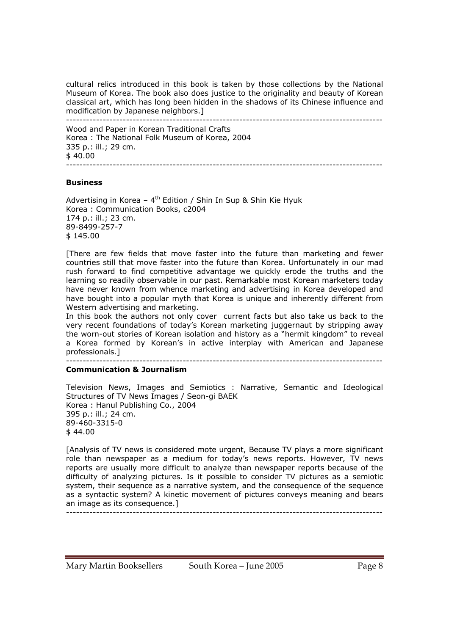cultural relics introduced in this book is taken by those collections by the National Museum of Korea. The book also does justice to the originality and beauty of Korean classical art, which has long been hidden in the shadows of its Chinese influence and modification by Japanese neighbors.]

----------------------------------------------------------------------------------------------- Wood and Paper in Korean Traditional Crafts Korea : The National Folk Museum of Korea, 2004 335 p.: ill.; 29 cm.  $$40.00$ -----------------------------------------------------------------------------------------------

### **Business**

Advertising in Korea -  $4<sup>th</sup>$  Edition / Shin In Sup & Shin Kie Hyuk Korea : Communication Books, c2004 174 p.: ill.; 23 cm. 89-8499-257-7 \$ 145.00

[There are few fields that move faster into the future than marketing and fewer countries still that move faster into the future than Korea. Unfortunately in our mad rush forward to find competitive advantage we quickly erode the truths and the learning so readily observable in our past. Remarkable most Korean marketers today have never known from whence marketing and advertising in Korea developed and have bought into a popular myth that Korea is unique and inherently different from Western advertising and marketing.

In this book the authors not only cover current facts but also take us back to the very recent foundations of today's Korean marketing juggernaut by stripping away the worn-out stories of Korean isolation and history as a "hermit kingdom" to reveal a Korea formed by Korean's in active interplay with American and Japanese professionals.]

-----------------------------------------------------------------------------------------------

### **Communication & Journalism**

Television News, Images and Semiotics : Narrative, Semantic and Ideological Structures of TV News Images / Seon-gi BAEK Korea : Hanul Publishing Co., 2004 395 p.: ill.; 24 cm. 89-460-3315-0  $$44.00$ 

[Analysis of TV news is considered mote urgent, Because TV plays a more significant role than newspaper as a medium for today's news reports. However, TV news reports are usually more difficult to analyze than newspaper reports because of the difficulty of analyzing pictures. Is it possible to consider TV pictures as a semiotic system, their sequence as a narrative system, and the consequence of the sequence as a syntactic system? A kinetic movement of pictures conveys meaning and bears an image as its consequence.]

-----------------------------------------------------------------------------------------------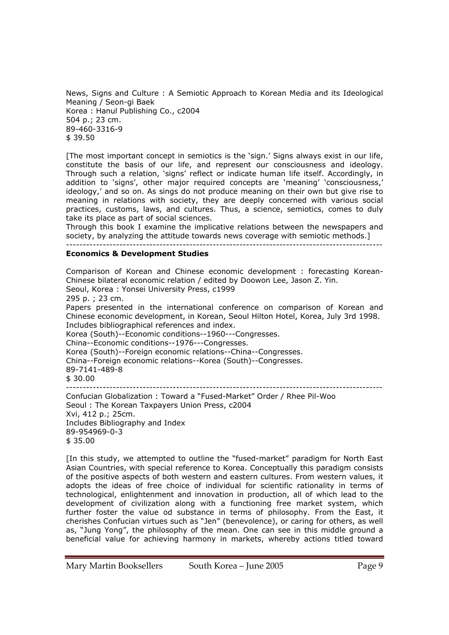News, Signs and Culture : A Semiotic Approach to Korean Media and its Ideological Meaning / Seon-gi Baek Korea : Hanul Publishing Co., c2004 504 p.; 23 cm. 89-460-3316-9 \$ 39.50

[The most important concept in semiotics is the 'sign.' Signs always exist in our life, constitute the basis of our life, and represent our consciousness and ideology. Through such a relation, 'signs' reflect or indicate human life itself. Accordingly, in addition to 'signs', other major required concepts are 'meaning' 'consciousness,' ideology,' and so on. As sings do not produce meaning on their own but give rise to meaning in relations with society, they are deeply concerned with various social practices, customs, laws, and cultures. Thus, a science, semiotics, comes to duly take its place as part of social sciences.

Through this book I examine the implicative relations between the newspapers and society, by analyzing the attitude towards news coverage with semiotic methods.]

-----------------------------------------------------------------------------------------------

### **Economics & Development Studies**

Comparison of Korean and Chinese economic development : forecasting Korean-Chinese bilateral economic relation / edited by Doowon Lee, Jason Z. Yin. Seoul, Korea : Yonsei University Press, c1999 295 p. ; 23 cm. Papers presented in the international conference on comparison of Korean and Chinese economic development, in Korean, Seoul Hilton Hotel, Korea, July 3rd 1998. Includes bibliographical references and index. Korea (South)--Economic conditions--1960---Congresses. China--Economic conditions--1976---Congresses. Korea (South)--Foreign economic relations--China--Congresses. China--Foreign economic relations--Korea (South)--Congresses. 89-7141-489-8 \$ 30.00 ----------------------------------------------------------------------------------------------- Confucian Globalization : Toward a "Fused-Market" Order / Rhee Pil-Woo Seoul : The Korean Taxpayers Union Press, c2004 Xvi, 412 p.; 25cm. Includes Bibliography and Index 89-954969-0-3 \$ 35.00

[In this study, we attempted to outline the "fused-market" paradigm for North East Asian Countries, with special reference to Korea. Conceptually this paradigm consists of the positive aspects of both western and eastern cultures. From western values, it adopts the ideas of free choice of individual for scientific rationality in terms of technological, enlightenment and innovation in production, all of which lead to the development of civilization along with a functioning free market system, which further foster the value od substance in terms of philosophy. From the East, it cherishes Confucian virtues such as "Jen" (benevolence), or caring for others, as well as, "Jung Yong", the philosophy of the mean. One can see in this middle ground a beneficial value for achieving harmony in markets, whereby actions titled toward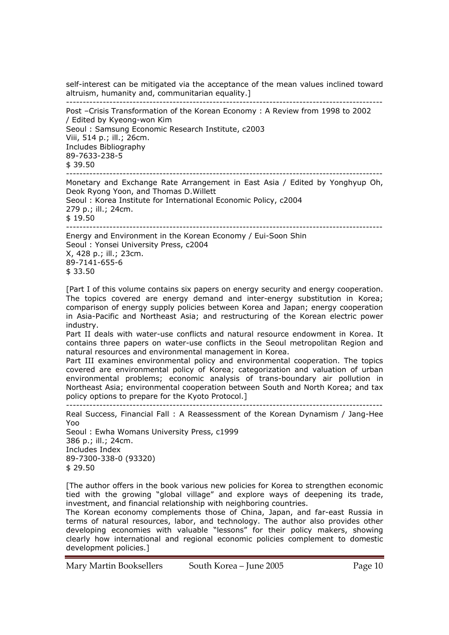self-interest can be mitigated via the acceptance of the mean values inclined toward altruism, humanity and, communitarian equality.] -----------------------------------------------------------------------------------------------

Post –Crisis Transformation of the Korean Economy : A Review from 1998 to 2002 / Edited by Kyeong-won Kim Seoul : Samsung Economic Research Institute, c2003 Viii, 514 p.; ill.; 26cm. Includes Bibliography 89-7633-238-5 \$ 39.50 -----------------------------------------------------------------------------------------------

Monetary and Exchange Rate Arrangement in East Asia / Edited by Yonghyup Oh, Deok Ryong Yoon, and Thomas D.Willett Seoul : Korea Institute for International Economic Policy, c2004 279 p.; ill.; 24cm. \$ 19.50 ----------------------------------------------------------------------------------------------- Energy and Environment in the Korean Economy / Eui-Soon Shin

Seoul : Yonsei University Press, c2004 X, 428 p.; ill.; 23cm. 89-7141-655-6 \$ 33.50

[Part I of this volume contains six papers on energy security and energy cooperation. The topics covered are energy demand and inter-energy substitution in Korea; comparison of energy supply policies between Korea and Japan; energy cooperation in Asia-Pacific and Northeast Asia; and restructuring of the Korean electric power industry.

Part II deals with water-use conflicts and natural resource endowment in Korea. It contains three papers on water-use conflicts in the Seoul metropolitan Region and natural resources and environmental management in Korea.

Part III examines environmental policy and environmental cooperation. The topics covered are environmental policy of Korea; categorization and valuation of urban environmental problems; economic analysis of trans-boundary air pollution in Northeast Asia; environmental cooperation between South and North Korea; and tax policy options to prepare for the Kyoto Protocol.]

-----------------------------------------------------------------------------------------------

Real Success, Financial Fall : A Reassessment of the Korean Dynamism / Jang-Hee Yoo

Seoul : Ewha Womans University Press, c1999 386 p.; ill.; 24cm. Includes Index 89-7300-338-0 (93320) \$ 29.50

[The author offers in the book various new policies for Korea to strengthen economic tied with the growing "global village" and explore ways of deepening its trade, investment, and financial relationship with neighboring countries.

The Korean economy complements those of China, Japan, and far-east Russia in terms of natural resources, labor, and technology. The author also provides other developing economies with valuable "lessons" for their policy makers, showing clearly how international and regional economic policies complement to domestic development policies.]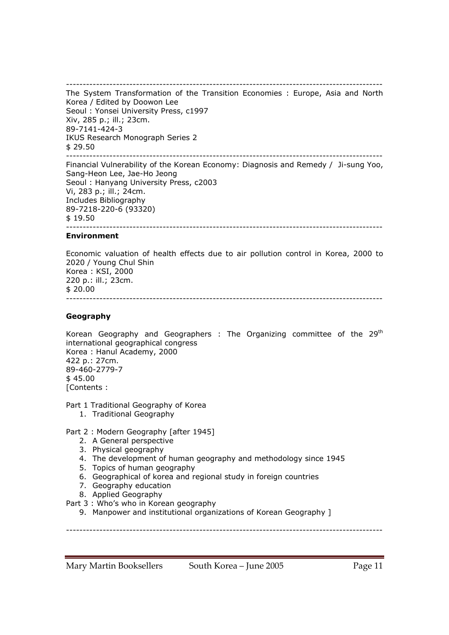----------------------------------------------------------------------------------------------- The System Transformation of the Transition Economies : Europe, Asia and North Korea / Edited by Doowon Lee Seoul : Yonsei University Press, c1997 Xiv, 285 p.; ill.; 23cm. 89-7141-424-3 IKUS Research Monograph Series 2 \$ 29.50 -----------------------------------------------------------------------------------------------

Financial Vulnerability of the Korean Economy: Diagnosis and Remedy / Ji-sung Yoo, Sang-Heon Lee, Jae-Ho Jeong Seoul : Hanyang University Press, c2003 Vi, 283 p.; ill.; 24cm. Includes Bibliography 89-7218-220-6 (93320) \$ 19.50 -----------------------------------------------------------------------------------------------

### **Environment**

Economic valuation of health effects due to air pollution control in Korea, 2000 to 2020 / Young Chul Shin Korea : KSI, 2000 220 p.: ill.; 23cm. \$ 20.00 -----------------------------------------------------------------------------------------------

### **Geography**

Korean Geography and Geographers : The Organizing committee of the  $29<sup>th</sup>$ international geographical congress Korea : Hanul Academy, 2000 422 p.: 27cm. 89-460-2779-7 \$ 45.00 [Contents :

Part 1 Traditional Geography of Korea

1. Traditional Geography

### Part 2 : Modern Geography [after 1945]

- 2. A General perspective
- 3. Physical geography
- 4. The development of human geography and methodology since 1945
- 5. Topics of human geography
- 6. Geographical of korea and regional study in foreign countries
- 7. Geography education
- 8. Applied Geography

Part 3 : Who's who in Korean geography

9. Manpower and institutional organizations of Korean Geography ]

-----------------------------------------------------------------------------------------------

Mary Martin Booksellers South Korea – June 2005 Page 11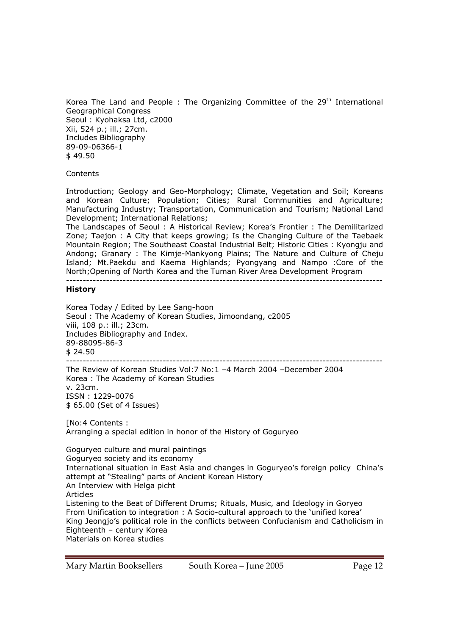Korea The Land and People : The Organizing Committee of the  $29<sup>th</sup>$  International Geographical Congress Seoul : Kyohaksa Ltd, c2000 Xii, 524 p.; ill.; 27cm. Includes Bibliography 89-09-06366-1 \$ 49.50

**Contents** 

Introduction; Geology and Geo-Morphology; Climate, Vegetation and Soil; Koreans and Korean Culture; Population; Cities; Rural Communities and Agriculture; Manufacturing Industry; Transportation, Communication and Tourism; National Land Development; International Relations;

The Landscapes of Seoul : A Historical Review; Korea's Frontier : The Demilitarized Zone; Taejon : A City that keeps growing; Is the Changing Culture of the Taebaek Mountain Region; The Southeast Coastal Industrial Belt; Historic Cities : Kyongju and Andong; Granary : The Kimje-Mankyong Plains; The Nature and Culture of Cheju Island; Mt.Paekdu and Kaema Highlands; Pyongyang and Nampo :Core of the North;Opening of North Korea and the Tuman River Area Development Program -----------------------------------------------------------------------------------------------

#### **History**

Korea Today / Edited by Lee Sang-hoon Seoul : The Academy of Korean Studies, Jimoondang, c2005 viii, 108 p.: ill.; 23cm. Includes Bibliography and Index. 89-88095-86-3 \$ 24.50 -----------------------------------------------------------------------------------------------

The Review of Korean Studies Vol:7 No:1 –4 March 2004 –December 2004 Korea : The Academy of Korean Studies v. 23cm. ISSN : 1229-0076 \$ 65.00 (Set of 4 Issues)

[No:4 Contents : Arranging a special edition in honor of the History of Goguryeo

Goguryeo culture and mural paintings Goguryeo society and its economy International situation in East Asia and changes in Goguryeo's foreign policy China's attempt at "Stealing" parts of Ancient Korean History An Interview with Helga picht Articles Listening to the Beat of Different Drums; Rituals, Music, and Ideology in Goryeo From Unification to integration : A Socio-cultural approach to the 'unified korea' King Jeongjo's political role in the conflicts between Confucianism and Catholicism in Eighteenth – century Korea Materials on Korea studies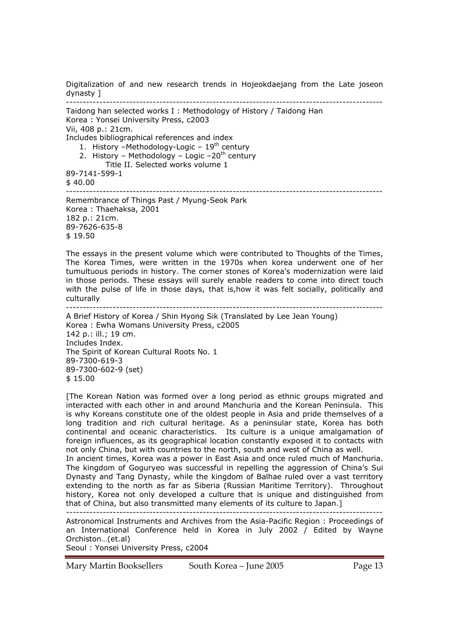Digitalization of and new research trends in Hojeokdaejang from the Late joseon dynasty ]

----------------------------------------------------------------------------------------------- Taidong han selected works I : Methodology of History / Taidong Han Korea : Yonsei University Press, c2003 Vii, 408 p.: 21cm. Includes bibliographical references and index 1. History -Methodology-Logic -  $19<sup>th</sup>$  century 2. History – Methodology – Logic –20<sup>th</sup> century Title II. Selected works volume 1 89-7141-599-1  $$40.00$ ----------------------------------------------------------------------------------------------- Remembrance of Things Past / Myung-Seok Park Korea : Thaehaksa, 2001 182 p.: 21cm. 89-7626-635-8 \$ 19.50 The essays in the present volume which were contributed to Thoughts of the Times, The Korea Times, were written in the 1970s when korea underwent one of her tumultuous periods in history. The corner stones of Korea's modernization were laid in those periods. These essays will surely enable readers to come into direct touch with the pulse of life in those days, that is,how it was felt socially, politically and culturally ----------------------------------------------------------------------------------------------- A Brief History of Korea / Shin Hyong Sik (Translated by Lee Jean Young) Korea : Ewha Womans University Press, c2005 142 p.: ill.; 19 cm. Includes Index. The Spirit of Korean Cultural Roots No. 1 89-7300-619-3 89-7300-602-9 (set)

\$ 15.00

[The Korean Nation was formed over a long period as ethnic groups migrated and interacted with each other in and around Manchuria and the Korean Peninsula. This is why Koreans constitute one of the oldest people in Asia and pride themselves of a long tradition and rich cultural heritage. As a peninsular state, Korea has both continental and oceanic characteristics. Its culture is a unique amalgamation of foreign influences, as its geographical location constantly exposed it to contacts with not only China, but with countries to the north, south and west of China as well.

In ancient times, Korea was a power in East Asia and once ruled much of Manchuria. The kingdom of Goguryeo was successful in repelling the aggression of China's Sui Dynasty and Tang Dynasty, while the kingdom of Balhae ruled over a vast territory extending to the north as far as Siberia (Russian Maritime Territory). Throughout history, Korea not only developed a culture that is unique and distinguished from that of China, but also transmitted many elements of its culture to Japan.]

-----------------------------------------------------------------------------------------------

Astronomical Instruments and Archives from the Asia-Pacific Region : Proceedings of an International Conference held in Korea in July 2002 / Edited by Wayne Orchiston…(et.al)

Seoul : Yonsei University Press, c2004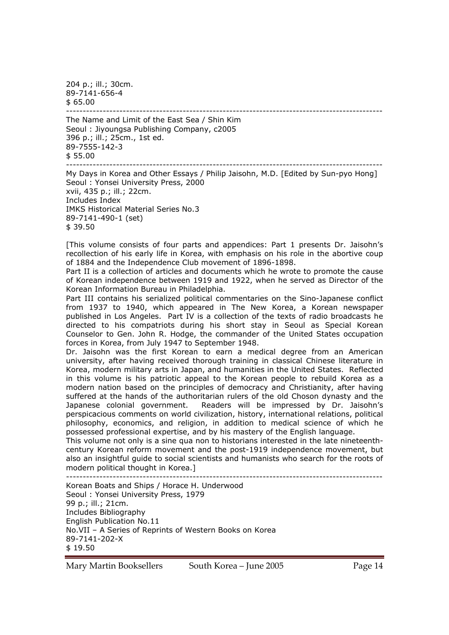204 p.; ill.; 30cm. 89-7141-656-4  $$65.00$ 

----------------------------------------------------------------------------------------------- The Name and Limit of the East Sea / Shin Kim Seoul : Jiyoungsa Publishing Company, c2005 396 p.; ill.; 25cm., 1st ed. 89-7555-142-3 \$ 55.00

----------------------------------------------------------------------------------------------- My Days in Korea and Other Essays / Philip Jaisohn, M.D. [Edited by Sun-pyo Hong] Seoul : Yonsei University Press, 2000 xvii, 435 p.; ill.; 22cm. Includes Index IMKS Historical Material Series No.3 89-7141-490-1 (set) \$ 39.50

[This volume consists of four parts and appendices: Part 1 presents Dr. Jaisohn's recollection of his early life in Korea, with emphasis on his role in the abortive coup of 1884 and the Independence Club movement of 1896-1898.

Part II is a collection of articles and documents which he wrote to promote the cause of Korean independence between 1919 and 1922, when he served as Director of the Korean Information Bureau in Philadelphia.

Part III contains his serialized political commentaries on the Sino-Japanese conflict from 1937 to 1940, which appeared in The New Korea, a Korean newspaper published in Los Angeles. Part IV is a collection of the texts of radio broadcasts he directed to his compatriots during his short stay in Seoul as Special Korean Counselor to Gen. John R. Hodge, the commander of the United States occupation forces in Korea, from July 1947 to September 1948.

Dr. Jaisohn was the first Korean to earn a medical degree from an American university, after having received thorough training in classical Chinese literature in Korea, modern military arts in Japan, and humanities in the United States. Reflected in this volume is his patriotic appeal to the Korean people to rebuild Korea as a modern nation based on the principles of democracy and Christianity, after having suffered at the hands of the authoritarian rulers of the old Choson dynasty and the Japanese colonial government. Readers will be impressed by Dr. Jaisohn's perspicacious comments on world civilization, history, international relations, political philosophy, economics, and religion, in addition to medical science of which he possessed professional expertise, and by his mastery of the English language.

This volume not only is a sine qua non to historians interested in the late nineteenthcentury Korean reform movement and the post-1919 independence movement, but also an insightful guide to social scientists and humanists who search for the roots of modern political thought in Korea.]

-----------------------------------------------------------------------------------------------

Korean Boats and Ships / Horace H. Underwood Seoul : Yonsei University Press, 1979 99 p.; ill.; 21cm. Includes Bibliography English Publication No.11 No.VII – A Series of Reprints of Western Books on Korea 89-7141-202-X \$ 19.50

Mary Martin Booksellers South Korea – June 2005 Page 14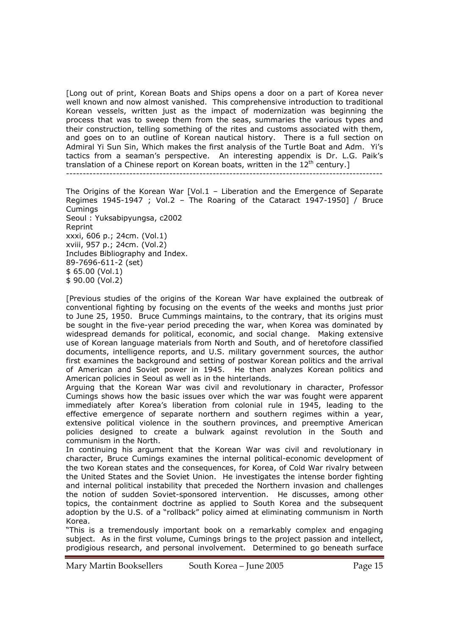[Long out of print, Korean Boats and Ships opens a door on a part of Korea never well known and now almost vanished. This comprehensive introduction to traditional Korean vessels, written just as the impact of modernization was beginning the process that was to sweep them from the seas, summaries the various types and their construction, telling something of the rites and customs associated with them, and goes on to an outline of Korean nautical history. There is a full section on Admiral Yi Sun Sin, Which makes the first analysis of the Turtle Boat and Adm. Yi's tactics from a seaman's perspective. An interesting appendix is Dr. L.G. Paik's translation of a Chinese report on Korean boats, written in the  $12<sup>th</sup>$  century.]

-----------------------------------------------------------------------------------------------

The Origins of the Korean War [Vol.1 – Liberation and the Emergence of Separate Regimes 1945-1947 ; Vol.2 – The Roaring of the Cataract 1947-1950] / Bruce Cumings Seoul : Yuksabipyungsa, c2002 Reprint xxxi, 606 p.; 24cm. (Vol.1) xviii, 957 p.; 24cm. (Vol.2) Includes Bibliography and Index. 89-7696-611-2 (set) \$ 65.00 (Vol.1) \$ 90.00 (Vol.2)

[Previous studies of the origins of the Korean War have explained the outbreak of conventional fighting by focusing on the events of the weeks and months just prior to June 25, 1950. Bruce Cummings maintains, to the contrary, that its origins must be sought in the five-year period preceding the war, when Korea was dominated by widespread demands for political, economic, and social change. Making extensive use of Korean language materials from North and South, and of heretofore classified documents, intelligence reports, and U.S. military government sources, the author first examines the background and setting of postwar Korean politics and the arrival of American and Soviet power in 1945. He then analyzes Korean politics and American policies in Seoul as well as in the hinterlands.

Arguing that the Korean War was civil and revolutionary in character, Professor Cumings shows how the basic issues over which the war was fought were apparent immediately after Korea's liberation from colonial rule in 1945, leading to the effective emergence of separate northern and southern regimes within a year, extensive political violence in the southern provinces, and preemptive American policies designed to create a bulwark against revolution in the South and communism in the North.

In continuing his argument that the Korean War was civil and revolutionary in character, Bruce Cumings examines the internal political-economic development of the two Korean states and the consequences, for Korea, of Cold War rivalry between the United States and the Soviet Union. He investigates the intense border fighting and internal political instability that preceded the Northern invasion and challenges the notion of sudden Soviet-sponsored intervention. He discusses, among other topics, the containment doctrine as applied to South Korea and the subsequent adoption by the U.S. of a "rollback" policy aimed at eliminating communism in North Korea.

"This is a tremendously important book on a remarkably complex and engaging subject. As in the first volume, Cumings brings to the project passion and intellect, prodigious research, and personal involvement. Determined to go beneath surface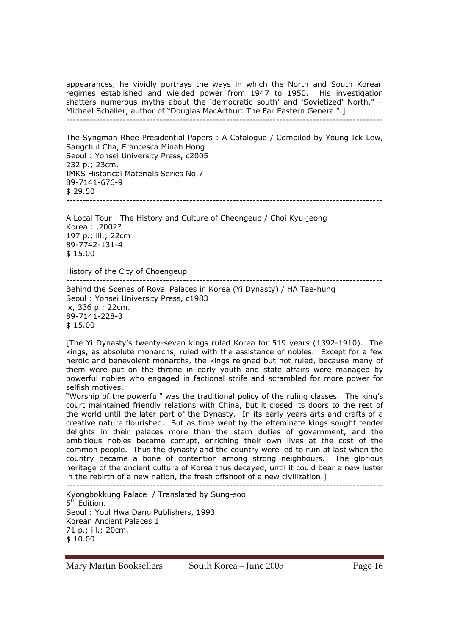appearances, he vividly portrays the ways in which the North and South Korean regimes established and wielded power from 1947 to 1950. His investigation shatters numerous myths about the 'democratic south' and 'Sovietized' North." – Michael Schaller, author of "Douglas MacArthur: The Far Eastern General".]

-----------------------------------------------------------------------------------------------

The Syngman Rhee Presidential Papers : A Catalogue / Compiled by Young Ick Lew, Sangchul Cha, Francesca Minah Hong Seoul : Yonsei University Press, c2005 232 p.; 23cm. IMKS Historical Materials Series No.7 89-7141-676-9 \$ 29.50 -----------------------------------------------------------------------------------------------

A Local Tour : The History and Culture of Cheongeup / Choi Kyu-jeong Korea : ,2002? 197 p.; ill.; 22cm 89-7742-131-4 \$ 15.00

History of the City of Choengeup

-----------------------------------------------------------------------------------------------

Behind the Scenes of Royal Palaces in Korea (Yi Dynasty) / HA Tae-hung Seoul : Yonsei University Press, c1983 ix, 336 p.; 22cm. 89-7141-228-3 \$ 15.00

[The Yi Dynasty's twenty-seven kings ruled Korea for 519 years (1392-1910). The kings, as absolute monarchs, ruled with the assistance of nobles. Except for a few heroic and benevolent monarchs, the kings reigned but not ruled, because many of them were put on the throne in early youth and state affairs were managed by powerful nobles who engaged in factional strife and scrambled for more power for selfish motives.

"Worship of the powerful" was the traditional policy of the ruling classes. The king's court maintained friendly relations with China, but it closed its doors to the rest of the world until the later part of the Dynasty. In its early years arts and crafts of a creative nature flourished. But as time went by the effeminate kings sought tender delights in their palaces more than the stern duties of government, and the ambitious nobles became corrupt, enriching their own lives at the cost of the common people. Thus the dynasty and the country were led to ruin at last when the country became a bone of contention among strong neighbours. The glorious heritage of the ancient culture of Korea thus decayed, until it could bear a new luster in the rebirth of a new nation, the fresh offshoot of a new civilization.]

-----------------------------------------------------------------------------------------------

Kyongbokkung Palace / Translated by Sung-soo 5<sup>th</sup> Edition. Seoul : Youl Hwa Dang Publishers, 1993 Korean Ancient Palaces 1 71 p.; ill.; 20cm. \$ 10.00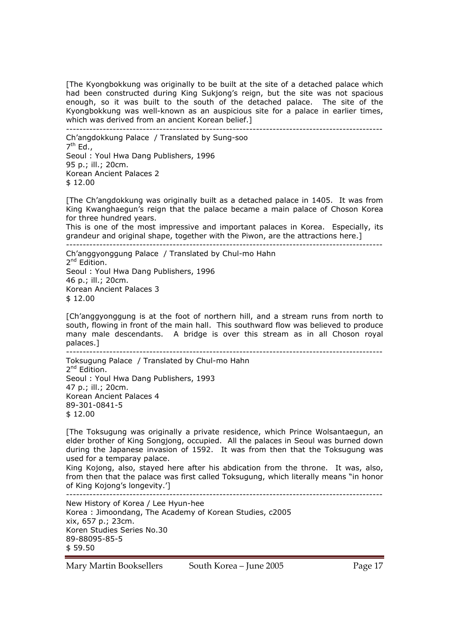[The Kyongbokkung was originally to be built at the site of a detached palace which had been constructed during King Sukjong's reign, but the site was not spacious enough, so it was built to the south of the detached palace. The site of the Kyongbokkung was well-known as an auspicious site for a palace in earlier times, which was derived from an ancient Korean belief.]

-----------------------------------------------------------------------------------------------

Ch'angdokkung Palace / Translated by Sung-soo  $7<sup>th</sup>$  Ed., Seoul : Youl Hwa Dang Publishers, 1996 95 p.; ill.; 20cm. Korean Ancient Palaces 2  $$12.00$ 

[The Ch'angdokkung was originally built as a detached palace in 1405. It was from King Kwanghaegun's reign that the palace became a main palace of Choson Korea for three hundred years.

This is one of the most impressive and important palaces in Korea. Especially, its grandeur and original shape, together with the Piwon, are the attractions here.]

-----------------------------------------------------------------------------------------------

Ch'anggyonggung Palace / Translated by Chul-mo Hahn 2<sup>nd</sup> Edition. Seoul : Youl Hwa Dang Publishers, 1996 46 p.; ill.; 20cm. Korean Ancient Palaces 3 \$ 12.00

[Ch'anggyonggung is at the foot of northern hill, and a stream runs from north to south, flowing in front of the main hall. This southward flow was believed to produce many male descendants. A bridge is over this stream as in all Choson royal palaces.] -----------------------------------------------------------------------------------------------

Toksugung Palace / Translated by Chul-mo Hahn 2<sup>nd</sup> Edition. Seoul : Youl Hwa Dang Publishers, 1993 47 p.; ill.; 20cm. Korean Ancient Palaces 4 89-301-0841-5  $$12.00$ 

[The Toksugung was originally a private residence, which Prince Wolsantaegun, an elder brother of King Songjong, occupied. All the palaces in Seoul was burned down during the Japanese invasion of 1592. It was from then that the Toksugung was used for a temparay palace.

King Kojong, also, stayed here after his abdication from the throne. It was, also, from then that the palace was first called Toksugung, which literally means "in honor of King Kojong's longevity.']

-----------------------------------------------------------------------------------------------

New History of Korea / Lee Hyun-hee Korea : Jimoondang, The Academy of Korean Studies, c2005 xix, 657 p.; 23cm. Koren Studies Series No.30 89-88095-85-5 \$ 59.50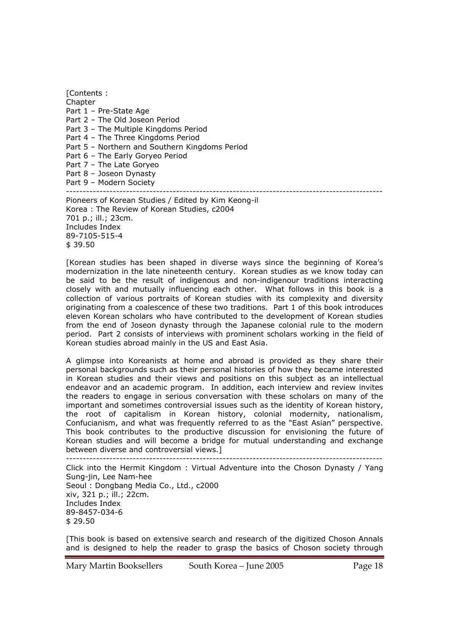[Contents : **Chapter** Part 1 – Pre-State Age Part 2 – The Old Joseon Period Part 3 – The Multiple Kingdoms Period Part 4 – The Three Kingdoms Period Part 5 – Northern and Southern Kingdoms Period Part 6 – The Early Goryeo Period Part 7 – The Late Goryeo Part 8 – Joseon Dynasty Part 9 – Modern Society ----------------------------------------------------------------------------------------------- Pioneers of Korean Studies / Edited by Kim Keong-il

Korea : The Review of Korean Studies, c2004 701 p.; ill.; 23cm. Includes Index 89-7105-515-4 \$ 39.50

[Korean studies has been shaped in diverse ways since the beginning of Korea's modernization in the late nineteenth century. Korean studies as we know today can be said to be the result of indigenous and non-indigenour traditions interacting closely with and mutually influencing each other. What follows in this book is a collection of various portraits of Korean studies with its complexity and diversity originating from a coalescence of these two traditions. Part 1 of this book introduces eleven Korean scholars who have contributed to the development of Korean studies from the end of Joseon dynasty through the Japanese colonial rule to the modern period. Part 2 consists of interviews with prominent scholars working in the field of Korean studies abroad mainly in the US and East Asia.

A glimpse into Koreanists at home and abroad is provided as they share their personal backgrounds such as their personal histories of how they became interested in Korean studies and their views and positions on this subject as an intellectual endeavor and an academic program. In addition, each interview and review invites the readers to engage in serious conversation with these scholars on many of the important and sometimes controversial issues such as the identity of Korean history, the root of capitalism in Korean history, colonial modernity, nationalism, Confucianism, and what was frequently referred to as the "East Asian" perspective. This book contributes to the productive discussion for envisioning the future of Korean studies and will become a bridge for mutual understanding and exchange between diverse and controversial views.]

-----------------------------------------------------------------------------------------------

Click into the Hermit Kingdom : Virtual Adventure into the Choson Dynasty / Yang Sung-jin, Lee Nam-hee Seoul : Dongbang Media Co., Ltd., c2000 xiv, 321 p.; ill.; 22cm. Includes Index 89-8457-034-6 \$ 29.50

[This book is based on extensive search and research of the digitized Choson Annals and is designed to help the reader to grasp the basics of Choson society through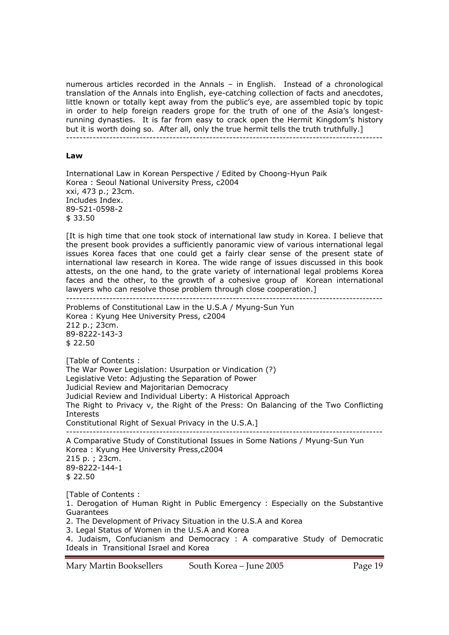numerous articles recorded in the Annals – in English. Instead of a chronological translation of the Annals into English, eye-catching collection of facts and anecdotes, little known or totally kept away from the public's eye, are assembled topic by topic in order to help foreign readers grope for the truth of one of the Asia's longestrunning dynasties. It is far from easy to crack open the Hermit Kingdom's history but it is worth doing so. After all, only the true hermit tells the truth truthfully.]

-----------------------------------------------------------------------------------------------

#### **Law**

International Law in Korean Perspective / Edited by Choong-Hyun Paik Korea : Seoul National University Press, c2004 xxi, 473 p.; 23cm. Includes Index. 89-521-0598-2 \$ 33.50

[It is high time that one took stock of international law study in Korea. I believe that the present book provides a sufficiently panoramic view of various international legal issues Korea faces that one could get a fairly clear sense of the present state of international law research in Korea. The wide range of issues discussed in this book attests, on the one hand, to the grate variety of international legal problems Korea faces and the other, to the growth of a cohesive group of Korean international lawyers who can resolve those problem through close cooperation.] -----------------------------------------------------------------------------------------------

Problems of Constitutional Law in the U.S.A / Myung-Sun Yun Korea : Kyung Hee University Press, c2004 212 p.; 23cm. 89-8222-143-3 \$ 22.50

[Table of Contents : The War Power Legislation: Usurpation or Vindication (?) Legislative Veto: Adjusting the Separation of Power Judicial Review and Majoritarian Democracy Judicial Review and Individual Liberty: A Historical Approach The Right to Privacy v, the Right of the Press: On Balancing of the Two Conflicting Interests Constitutional Right of Sexual Privacy in the U.S.A.] ----------------------------------------------------------------------------------------------- A Comparative Study of Constitutional Issues in Some Nations / Myung-Sun Yun Korea : Kyung Hee University Press,c2004 215 p. ; 23cm. 89-8222-144-1

\$ 22.50

[Table of Contents :

1. Derogation of Human Right in Public Emergency : Especially on the Substantive Guarantees

2. The Development of Privacy Situation in the U.S.A and Korea

3. Legal Status of Women in the U.S.A and Korea

4. Judaism, Confucianism and Democracy : A comparative Study of Democratic Ideals in Transitional Israel and Korea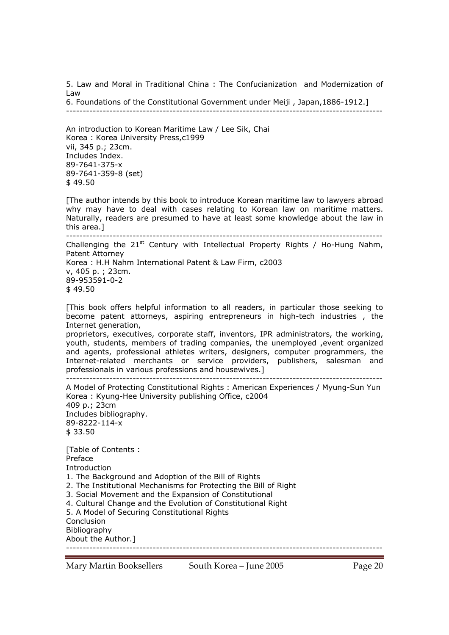5. Law and Moral in Traditional China : The Confucianization and Modernization of Law

6. Foundations of the Constitutional Government under Meiji , Japan,1886-1912.] -----------------------------------------------------------------------------------------------

An introduction to Korean Maritime Law / Lee Sik, Chai Korea : Korea University Press,c1999 vii, 345 p.; 23cm. Includes Index. 89-7641-375-x 89-7641-359-8 (set) \$ 49.50

[The author intends by this book to introduce Korean maritime law to lawyers abroad why may have to deal with cases relating to Korean law on maritime matters. Naturally, readers are presumed to have at least some knowledge about the law in this area.] -----------------------------------------------------------------------------------------------

Challenging the  $21^{st}$  Century with Intellectual Property Rights / Ho-Hung Nahm, Patent Attorney Korea : H.H Nahm International Patent & Law Firm, c2003 v, 405 p. ; 23cm. 89-953591-0-2

\$ 49.50

[This book offers helpful information to all readers, in particular those seeking to become patent attorneys, aspiring entrepreneurs in high-tech industries , the Internet generation,

proprietors, executives, corporate staff, inventors, IPR administrators, the working, youth, students, members of trading companies, the unemployed ,event organized and agents, professional athletes writers, designers, computer programmers, the Internet-related merchants or service providers, publishers, salesman and professionals in various professions and housewives.] -----------------------------------------------------------------------------------------------

A Model of Protecting Constitutional Rights : American Experiences / Myung-Sun Yun Korea : Kyung-Hee University publishing Office, c2004 409 p.; 23cm Includes bibliography. 89-8222-114-x \$ 33.50 [Table of Contents : Preface

Introduction

- 1. The Background and Adoption of the Bill of Rights
- 2. The Institutional Mechanisms for Protecting the Bill of Right
- 3. Social Movement and the Expansion of Constitutional
- 4. Cultural Change and the Evolution of Constitutional Right

5. A Model of Securing Constitutional Rights

Conclusion Bibliography

About the Author.] -----------------------------------------------------------------------------------------------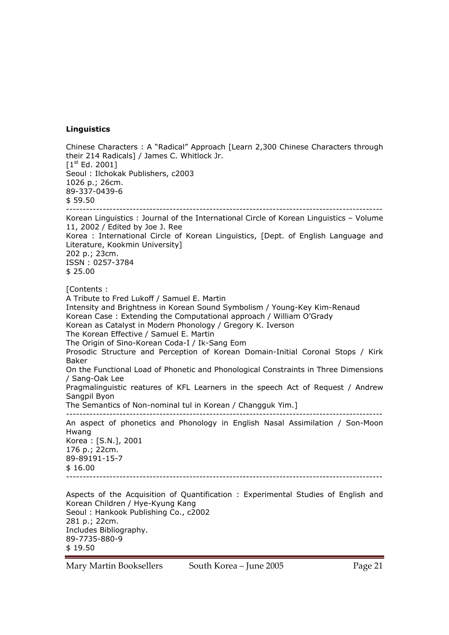### **Linguistics**

Mary Martin Booksellers South Korea – June 2005 Page 21 Chinese Characters : A "Radical" Approach [Learn 2,300 Chinese Characters through their 214 Radicals] / James C. Whitlock Jr. [1<sup>st</sup> Ed. 2001] Seoul : Ilchokak Publishers, c2003 1026 p.; 26cm. 89-337-0439-6 \$ 59.50 ----------------------------------------------------------------------------------------------- Korean Linguistics : Journal of the International Circle of Korean Linguistics – Volume 11, 2002 / Edited by Joe J. Ree Korea : International Circle of Korean Linguistics, [Dept. of English Language and Literature, Kookmin University] 202 p.; 23cm. ISSN : 0257-3784 \$ 25.00 [Contents : A Tribute to Fred Lukoff / Samuel E. Martin Intensity and Brightness in Korean Sound Symbolism / Young-Key Kim-Renaud Korean Case : Extending the Computational approach / William O'Grady Korean as Catalyst in Modern Phonology / Gregory K. Iverson The Korean Effective / Samuel E. Martin The Origin of Sino-Korean Coda-I / Ik-Sang Eom Prosodic Structure and Perception of Korean Domain-Initial Coronal Stops / Kirk Baker On the Functional Load of Phonetic and Phonological Constraints in Three Dimensions / Sang-Oak Lee Pragmalinguistic reatures of KFL Learners in the speech Act of Request / Andrew Sangpil Byon The Semantics of Non-nominal tul in Korean / Changguk Yim.] ----------------------------------------------------------------------------------------------- An aspect of phonetics and Phonology in English Nasal Assimilation / Son-Moon Hwang Korea : [S.N.], 2001 176 p.; 22cm. 89-89191-15-7 \$ 16.00 ----------------------------------------------------------------------------------------------- Aspects of the Acquisition of Quantification : Experimental Studies of English and Korean Children / Hye-Kyung Kang Seoul : Hankook Publishing Co., c2002 281 p.; 22cm. Includes Bibliography. 89-7735-880-9 \$ 19.50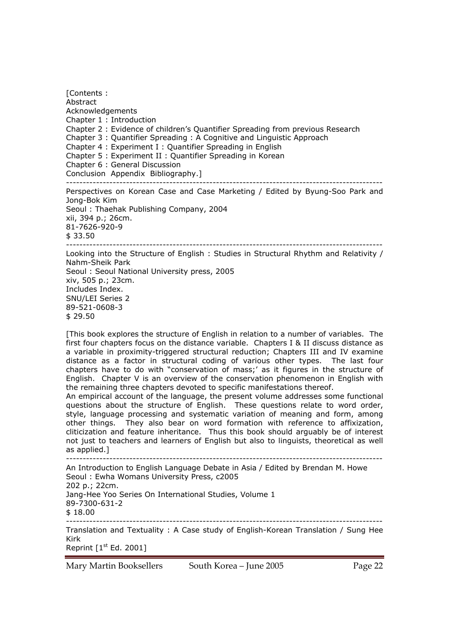[Contents : Abstract Acknowledgements Chapter 1 : Introduction Chapter 2 : Evidence of children's Quantifier Spreading from previous Research Chapter 3 : Quantifier Spreading : A Cognitive and Linguistic Approach Chapter 4 : Experiment I : Quantifier Spreading in English Chapter 5 : Experiment II : Quantifier Spreading in Korean Chapter 6 : General Discussion Conclusion Appendix Bibliography.] ----------------------------------------------------------------------------------------------- Perspectives on Korean Case and Case Marketing / Edited by Byung-Soo Park and Jong-Bok Kim Seoul : Thaehak Publishing Company, 2004 xii, 394 p.; 26cm. 81-7626-920-9 \$ 33.50 ----------------------------------------------------------------------------------------------- Looking into the Structure of English : Studies in Structural Rhythm and Relativity / Nahm-Sheik Park Seoul : Seoul National University press, 2005 xiv, 505 p.; 23cm. Includes Index.

89-521-0608-3 \$ 29.50 [This book explores the structure of English in relation to a number of variables. The

first four chapters focus on the distance variable. Chapters I & II discuss distance as a variable in proximity-triggered structural reduction; Chapters III and IV examine distance as a factor in structural coding of various other types. The last four chapters have to do with "conservation of mass;' as it figures in the structure of English. Chapter V is an overview of the conservation phenomenon in English with the remaining three chapters devoted to specific manifestations thereof.

An empirical account of the language, the present volume addresses some functional questions about the structure of English. These questions relate to word order, style, language processing and systematic variation of meaning and form, among other things. They also bear on word formation with reference to affixization, cliticization and feature inheritance. Thus this book should arguably be of interest not just to teachers and learners of English but also to linguists, theoretical as well as applied.]

-----------------------------------------------------------------------------------------------

An Introduction to English Language Debate in Asia / Edited by Brendan M. Howe Seoul : Ewha Womans University Press, c2005 202 p.; 22cm. Jang-Hee Yoo Series On International Studies, Volume 1 89-7300-631-2 \$ 18.00 ----------------------------------------------------------------------------------------------- Translation and Textuality : A Case study of English-Korean Translation / Sung Hee Kirk

Reprint  $[1<sup>st</sup> Ed. 2001]$ 

SNU/LEI Series 2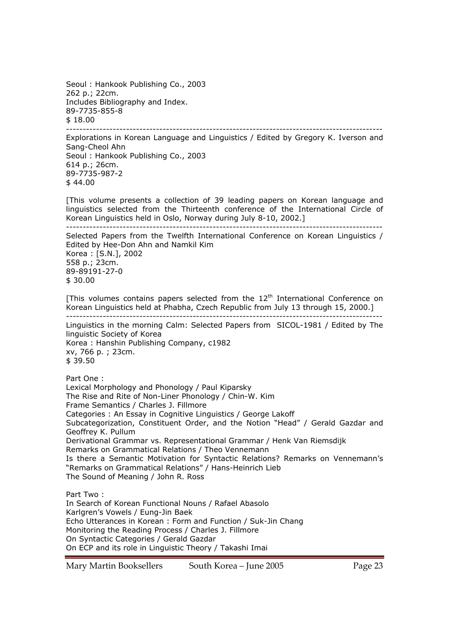Seoul : Hankook Publishing Co., 2003 262 p.; 22cm. Includes Bibliography and Index. 89-7735-855-8 \$ 18.00

-----------------------------------------------------------------------------------------------

Explorations in Korean Language and Linguistics / Edited by Gregory K. Iverson and Sang-Cheol Ahn Seoul : Hankook Publishing Co., 2003 614 p.; 26cm. 89-7735-987-2  $$44.00$ 

[This volume presents a collection of 39 leading papers on Korean language and linguistics selected from the Thirteenth conference of the International Circle of Korean Linguistics held in Oslo, Norway during July 8-10, 2002.]

----------------------------------------------------------------------------------------------- Selected Papers from the Twelfth International Conference on Korean Linguistics /

Edited by Hee-Don Ahn and Namkil Kim Korea : [S.N.], 2002 558 p.; 23cm. 89-89191-27-0

\$ 30.00

[This volumes contains papers selected from the  $12<sup>th</sup>$  International Conference on Korean Linguistics held at Phabha, Czech Republic from July 13 through 15, 2000.] -----------------------------------------------------------------------------------------------

Linguistics in the morning Calm: Selected Papers from SICOL-1981 / Edited by The linguistic Society of Korea Korea : Hanshin Publishing Company, c1982 xv, 766 p. ; 23cm. \$ 39.50

Part One :

Lexical Morphology and Phonology / Paul Kiparsky The Rise and Rite of Non-Liner Phonology / Chin-W. Kim Frame Semantics / Charles J. Fillmore Categories : An Essay in Cognitive Linguistics / George Lakoff Subcategorization, Constituent Order, and the Notion "Head" / Gerald Gazdar and Geoffrey K. Pullum Derivational Grammar vs. Representational Grammar / Henk Van Riemsdijk Remarks on Grammatical Relations / Theo Vennemann Is there a Semantic Motivation for Syntactic Relations? Remarks on Vennemann's "Remarks on Grammatical Relations" / Hans-Heinrich Lieb The Sound of Meaning / John R. Ross Part Two :

In Search of Korean Functional Nouns / Rafael Abasolo Karlgren's Vowels / Eung-Jin Baek Echo Utterances in Korean : Form and Function / Suk-Jin Chang Monitoring the Reading Process / Charles J. Fillmore On Syntactic Categories / Gerald Gazdar On ECP and its role in Linguistic Theory / Takashi Imai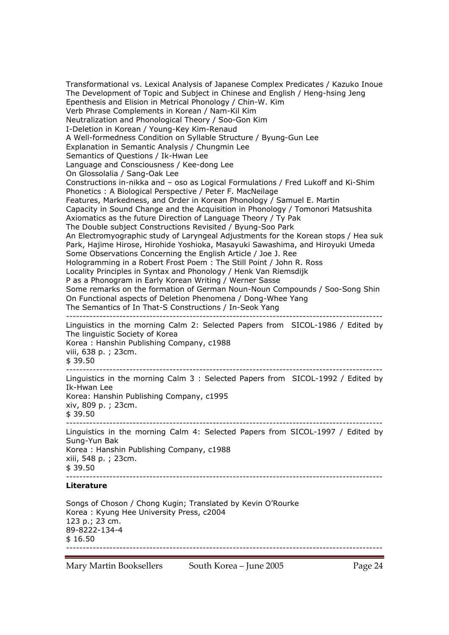Transformational vs. Lexical Analysis of Japanese Complex Predicates / Kazuko Inoue The Development of Topic and Subject in Chinese and English / Heng-hsing Jeng Epenthesis and Elision in Metrical Phonology / Chin-W. Kim Verb Phrase Complements in Korean / Nam-Kil Kim Neutralization and Phonological Theory / Soo-Gon Kim I-Deletion in Korean / Young-Key Kim-Renaud A Well-formedness Condition on Syllable Structure / Byung-Gun Lee Explanation in Semantic Analysis / Chungmin Lee Semantics of Questions / Ik-Hwan Lee Language and Consciousness / Kee-dong Lee On Glossolalia / Sang-Oak Lee Constructions in-nikka and – oso as Logical Formulations / Fred Lukoff and Ki-Shim Phonetics : A Biological Perspective / Peter F. MacNeilage Features, Markedness, and Order in Korean Phonology / Samuel E. Martin Capacity in Sound Change and the Acquisition in Phonology / Tomonori Matsushita Axiomatics as the future Direction of Language Theory / Ty Pak The Double subject Constructions Revisited / Byung-Soo Park An Electromyographic study of Laryngeal Adjustments for the Korean stops / Hea suk Park, Hajime Hirose, Hirohide Yoshioka, Masayuki Sawashima, and Hiroyuki Umeda Some Observations Concerning the English Article / Joe J. Ree Hologramming in a Robert Frost Poem : The Still Point / John R. Ross Locality Principles in Syntax and Phonology / Henk Van Riemsdijk P as a Phonogram in Early Korean Writing / Werner Sasse Some remarks on the formation of German Noun-Noun Compounds / Soo-Song Shin On Functional aspects of Deletion Phenomena / Dong-Whee Yang The Semantics of In That-S Constructions / In-Seok Yang ----------------------------------------------------------------------------------------------- Linguistics in the morning Calm 2: Selected Papers from SICOL-1986 / Edited by The linguistic Society of Korea Korea : Hanshin Publishing Company, c1988 viii, 638 p. ; 23cm. \$ 39.50 ----------------------------------------------------------------------------------------------- Linguistics in the morning Calm 3 : Selected Papers from SICOL-1992 / Edited by Ik-Hwan Lee Korea: Hanshin Publishing Company, c1995 xiv, 809 p. ; 23cm. \$ 39.50 ----------------------------------------------------------------------------------------------- Linguistics in the morning Calm 4: Selected Papers from SICOL-1997 / Edited by Sung-Yun Bak Korea : Hanshin Publishing Company, c1988 xiii, 548 p. ; 23cm.  $$39.50$ ----------------------------------------------------------------------------------------------- **Literature**  Songs of Choson / Chong Kugin; Translated by Kevin O'Rourke Korea : Kyung Hee University Press, c2004 123 p.; 23 cm. 89-8222-134-4 \$ 16.50 -----------------------------------------------------------------------------------------------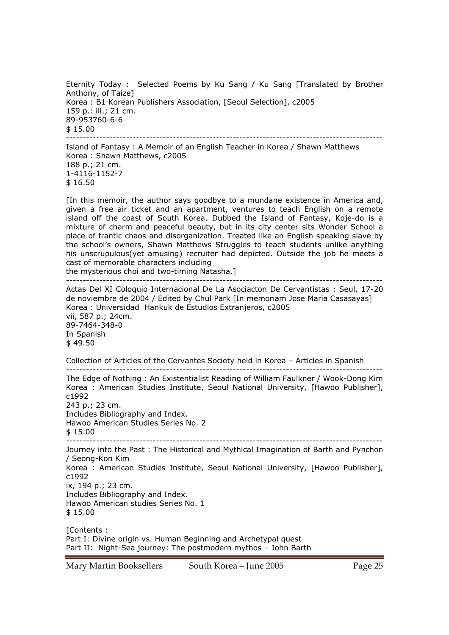Eternity Today : Selected Poems by Ku Sang / Ku Sang [Translated by Brother Anthony, of Taize] Korea : B1 Korean Publishers Association, [Seoul Selection], c2005 159 p.: ill.; 21 cm. 89-953760-6-6 \$ 15.00 -----------------------------------------------------------------------------------------------

Island of Fantasy : A Memoir of an English Teacher in Korea / Shawn Matthews Korea : Shawn Matthews, c2005 188 p.; 21 cm. 1-4116-1152-7 \$ 16.50

[In this memoir, the author says goodbye to a mundane existence in America and, given a free air ticket and an apartment, ventures to teach English on a remote island off the coast of South Korea. Dubbed the Island of Fantasy, Koje-do is a mixture of charm and peaceful beauty, but in its city center sits Wonder School a place of frantic chaos and disorganization. Treated like an English speaking slave by the school's owners, Shawn Matthews Struggles to teach students unlike anything his unscrupulous(yet amusing) recruiter had depicted. Outside the job he meets a cast of memorable characters including

the mysterious choi and two-timing Natasha.]

-----------------------------------------------------------------------------------------------

Actas Del XI Coloquio Internacional De La Asociacton De Cervantistas : Seul, 17-20 de noviembre de 2004 / Edited by Chul Park [In memoriam Jose Maria Casasayas] Korea : Universidad Hankuk de Estudios Extranjeros, c2005 vii, 587 p.; 24cm. 89-7464-348-0 In Spanish \$ 49.50

Collection of Articles of the Cervantes Society held in Korea – Articles in Spanish -----------------------------------------------------------------------------------------------

The Edge of Nothing : An Existentialist Reading of William Faulkner / Wook-Dong Kim Korea : American Studies Institute, Seoul National University, [Hawoo Publisher], c1992 243 p.; 23 cm. Includes Bibliography and Index. Hawoo American Studies Series No. 2 \$ 15.00 ----------------------------------------------------------------------------------------------- Journey into the Past : The Historical and Mythical Imagination of Barth and Pynchon / Seong-Kon Kim Korea : American Studies Institute, Seoul National University, [Hawoo Publisher], c1992 ix, 194 p.; 23 cm. Includes Bibliography and Index. Hawoo American studies Series No. 1 \$ 15.00 [Contents : Part I: Divine origin vs. Human Beginning and Archetypal quest

Part II: Night-Sea journey: The postmodern mythos – John Barth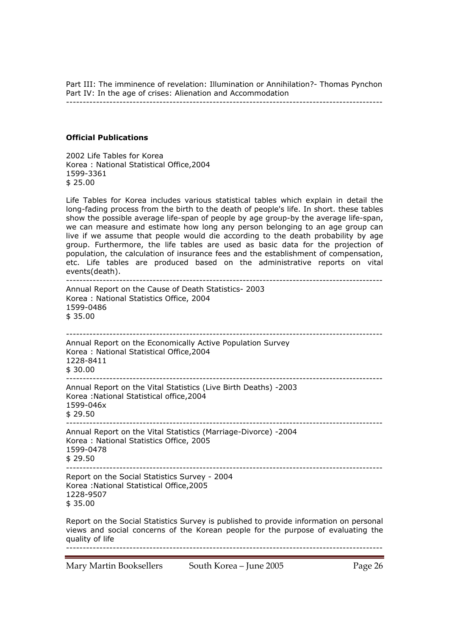Part III: The imminence of revelation: Illumination or Annihilation?- Thomas Pynchon Part IV: In the age of crises: Alienation and Accommodation

-----------------------------------------------------------------------------------------------

## **Official Publications**

2002 Life Tables for Korea Korea : National Statistical Office,2004 1599-3361  $$25.00$ 

Life Tables for Korea includes various statistical tables which explain in detail the long-fading process from the birth to the death of people's life. In short. these tables show the possible average life-span of people by age group-by the average life-span, we can measure and estimate how long any person belonging to an age group can live if we assume that people would die according to the death probability by age group. Furthermore, the life tables are used as basic data for the projection of population, the calculation of insurance fees and the establishment of compensation, etc. Life tables are produced based on the administrative reports on vital events(death).

----------------------------------------------------------------------------------------------- Annual Report on the Cause of Death Statistics- 2003 Korea : National Statistics Office, 2004 1599-0486 \$ 35.00 ----------------------------------------------------------------------------------------------- Annual Report on the Economically Active Population Survey Korea : National Statistical Office,2004 1228-8411  $$30.00$ ----------------------------------------------------------------------------------------------- Annual Report on the Vital Statistics (Live Birth Deaths) -2003 Korea :National Statistical office,2004 1599-046x \$ 29.50 ----------------------------------------------------------------------------------------------- Annual Report on the Vital Statistics (Marriage-Divorce) -2004 Korea : National Statistics Office, 2005 1599-0478 \$ 29.50 ----------------------------------------------------------------------------------------------- Report on the Social Statistics Survey - 2004 Korea :National Statistical Office,2005 1228-9507 \$ 35.00 Report on the Social Statistics Survey is published to provide information on personal

views and social concerns of the Korean people for the purpose of evaluating the quality of life -----------------------------------------------------------------------------------------------

Mary Martin Booksellers South Korea – June 2005 Page 26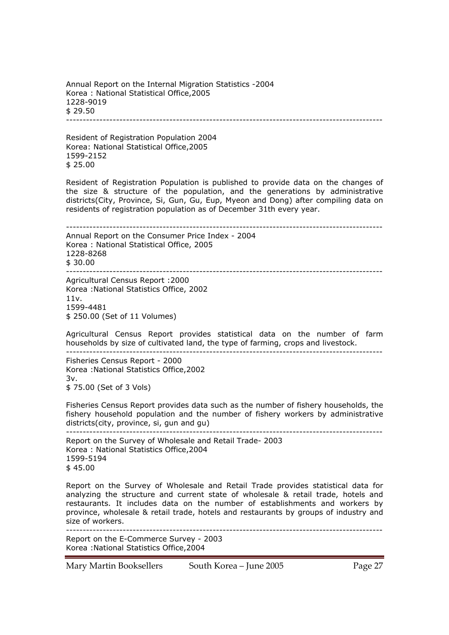Annual Report on the Internal Migration Statistics -2004 Korea : National Statistical Office,2005 1228-9019  $$29.50$ 

-----------------------------------------------------------------------------------------------

Resident of Registration Population 2004 Korea: National Statistical Office,2005 1599-2152 \$ 25.00

Resident of Registration Population is published to provide data on the changes of the size & structure of the population, and the generations by administrative districts(City, Province, Si, Gun, Gu, Eup, Myeon and Dong) after compiling data on residents of registration population as of December 31th every year.

----------------------------------------------------------------------------------------------- Annual Report on the Consumer Price Index - 2004 Korea : National Statistical Office, 2005 1228-8268  $$30.00$ -----------------------------------------------------------------------------------------------

Agricultural Census Report :2000 Korea :National Statistics Office, 2002 11v. 1599-4481 \$ 250.00 (Set of 11 Volumes)

Agricultural Census Report provides statistical data on the number of farm households by size of cultivated land, the type of farming, crops and livestock. -----------------------------------------------------------------------------------------------

Fisheries Census Report - 2000 Korea :National Statistics Office,2002 3v. \$ 75.00 (Set of 3 Vols)

Fisheries Census Report provides data such as the number of fishery households, the fishery household population and the number of fishery workers by administrative districts(city, province, si, gun and gu) -----------------------------------------------------------------------------------------------

Report on the Survey of Wholesale and Retail Trade- 2003 Korea : National Statistics Office,2004 1599-5194  $$45.00$ 

Report on the Survey of Wholesale and Retail Trade provides statistical data for analyzing the structure and current state of wholesale & retail trade, hotels and restaurants. It includes data on the number of establishments and workers by province, wholesale & retail trade, hotels and restaurants by groups of industry and size of workers.

----------------------------------------------------------------------------------------------- Report on the E-Commerce Survey - 2003 Korea :National Statistics Office,2004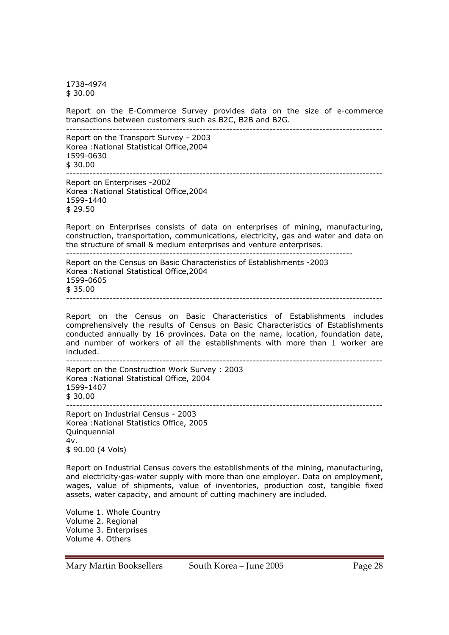1738-4974 \$ 30.00

Report on the E-Commerce Survey provides data on the size of e-commerce transactions between customers such as B2C, B2B and B2G. -----------------------------------------------------------------------------------------------

Report on the Transport Survey - 2003 Korea :National Statistical Office,2004 1599-0630  $$30.00$ ----------------------------------------------------------------------------------------------- Report on Enterprises -2002 Korea :National Statistical Office,2004 1599-1440 \$ 29.50 Report on Enterprises consists of data on enterprises of mining, manufacturing, construction, transportation, communications, electricity, gas and water and data on the structure of small & medium enterprises and venture enterprises. -------------------------------------------------------------------------------------- Report on the Census on Basic Characteristics of Establishments -2003 Korea :National Statistical Office,2004 1599-0605 \$ 35.00

Report on the Census on Basic Characteristics of Establishments includes comprehensively the results of Census on Basic Characteristics of Establishments conducted annually by 16 provinces. Data on the name, location, foundation date, and number of workers of all the establishments with more than 1 worker are included.

-----------------------------------------------------------------------------------------------

----------------------------------------------------------------------------------------------- Report on the Construction Work Survey : 2003 Korea :National Statistical Office, 2004 1599-1407 \$ 30.00 -----------------------------------------------------------------------------------------------

Report on Industrial Census - 2003 Korea :National Statistics Office, 2005 Quinquennial 4v. \$ 90.00 (4 Vols)

Report on Industrial Census covers the establishments of the mining, manufacturing, and electricity·gas·water supply with more than one employer. Data on employment, wages, value of shipments, value of inventories, production cost, tangible fixed assets, water capacity, and amount of cutting machinery are included.

Volume 1. Whole Country Volume 2. Regional Volume 3. Enterprises Volume 4. Others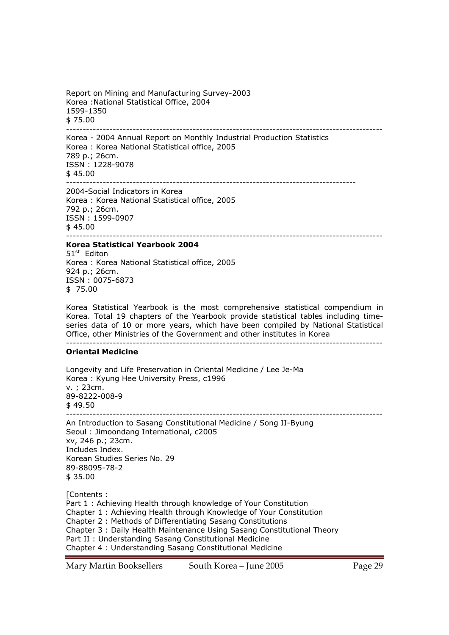Report on Mining and Manufacturing Survey-2003 Korea :National Statistical Office, 2004 1599-1350 \$ 75.00 -----------------------------------------------------------------------------------------------

Korea - 2004 Annual Report on Monthly Industrial Production Statistics Korea : Korea National Statistical office, 2005 789 p.; 26cm. ISSN : 1228-9078 \$ 45.00 --------------------------------------------------------------------------------------- 2004-Social Indicators in Korea Korea : Korea National Statistical office, 2005

792 p.; 26cm. ISSN : 1599-0907  $$45.00$ 

## -----------------------------------------------------------------------------------------------

**Korea Statistical Yearbook 2004**  51<sup>st</sup> Editon Korea : Korea National Statistical office, 2005 924 p.; 26cm. ISSN : 0075-6873 \$ 75.00

Korea Statistical Yearbook is the most comprehensive statistical compendium in Korea. Total 19 chapters of the Yearbook provide statistical tables including timeseries data of 10 or more years, which have been compiled by National Statistical Office, other Ministries of the Government and other institutes in Korea -----------------------------------------------------------------------------------------------

### **Oriental Medicine**

Longevity and Life Preservation in Oriental Medicine / Lee Je-Ma Korea : Kyung Hee University Press, c1996 v. ; 23cm. 89-8222-008-9  $$49.50$  $-$ An Introduction to Sasang Constitutional Medicine / Song II-Byung Seoul : Jimoondang International, c2005 xv, 246 p.; 23cm. Includes Index. Korean Studies Series No. 29 89-88095-78-2 \$ 35.00 [Contents : Part 1 : Achieving Health through knowledge of Your Constitution Chapter 1 : Achieving Health through Knowledge of Your Constitution Chapter 2 : Methods of Differentiating Sasang Constitutions Chapter 3 : Daily Health Maintenance Using Sasang Constitutional Theory Part II : Understanding Sasang Constitutional Medicine Chapter 4 : Understanding Sasang Constitutional Medicine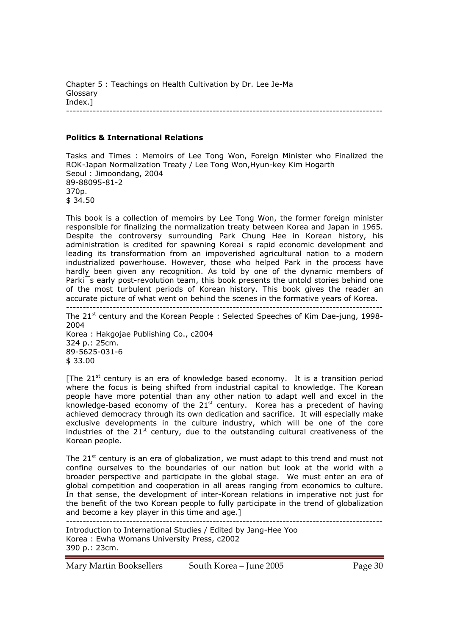Chapter 5 : Teachings on Health Cultivation by Dr. Lee Je-Ma Glossary Index.] -----------------------------------------------------------------------------------------------

### **Politics & International Relations**

Tasks and Times : Memoirs of Lee Tong Won, Foreign Minister who Finalized the ROK-Japan Normalization Treaty / Lee Tong Won,Hyun-key Kim Hogarth Seoul : Jimoondang, 2004 89-88095-81-2 370p. \$ 34.50

This book is a collection of memoirs by Lee Tong Won, the former foreign minister responsible for finalizing the normalization treaty between Korea and Japan in 1965. Despite the controversy surrounding Park Chung Hee in Korean history, his administration is credited for spawning Koreai<sup>-</sup>s rapid economic development and leading its transformation from an impoverished agricultural nation to a modern industrialized powerhouse. However, those who helped Park in the process have hardly been given any recognition. As told by one of the dynamic members of Parki<sup> $-$ </sup>s early post-revolution team, this book presents the untold stories behind one of the most turbulent periods of Korean history. This book gives the reader an accurate picture of what went on behind the scenes in the formative years of Korea.

----------------------------------------------------------------------------------------------- The 21<sup>st</sup> century and the Korean People : Selected Speeches of Kim Dae-jung, 1998-2004 Korea : Hakgojae Publishing Co., c2004 324 p.: 25cm. 89-5625-031-6 \$ 33.00

[The  $21<sup>st</sup>$  century is an era of knowledge based economy. It is a transition period where the focus is being shifted from industrial capital to knowledge. The Korean people have more potential than any other nation to adapt well and excel in the knowledge-based economy of the  $21^{st}$  century. Korea has a precedent of having achieved democracy through its own dedication and sacrifice. It will especially make exclusive developments in the culture industry, which will be one of the core industries of the  $21^{st}$  century, due to the outstanding cultural creativeness of the Korean people.

The  $21<sup>st</sup>$  century is an era of globalization, we must adapt to this trend and must not confine ourselves to the boundaries of our nation but look at the world with a broader perspective and participate in the global stage. We must enter an era of global competition and cooperation in all areas ranging from economics to culture. In that sense, the development of inter-Korean relations in imperative not just for the benefit of the two Korean people to fully participate in the trend of globalization and become a key player in this time and age.] -----------------------------------------------------------------------------------------------

Introduction to International Studies / Edited by Jang-Hee Yoo Korea : Ewha Womans University Press, c2002 390 p.: 23cm.

Mary Martin Booksellers South Korea – June 2005 Page 30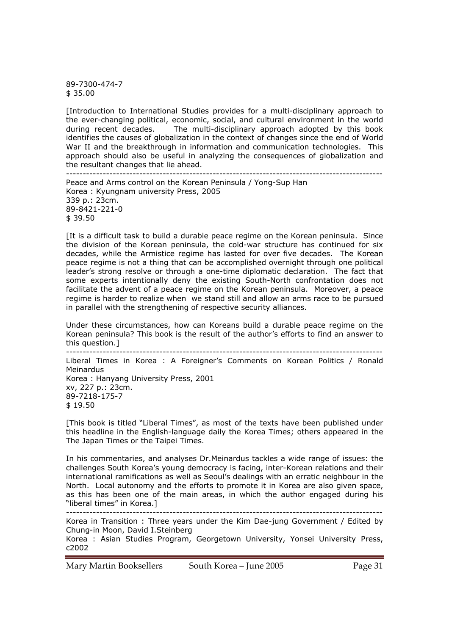89-7300-474-7  $$35.00$ 

[Introduction to International Studies provides for a multi-disciplinary approach to the ever-changing political, economic, social, and cultural environment in the world during recent decades. The multi-disciplinary approach adopted by this book identifies the causes of globalization in the context of changes since the end of World War II and the breakthrough in information and communication technologies. This approach should also be useful in analyzing the consequences of globalization and the resultant changes that lie ahead. -----------------------------------------------------------------------------------------------

Peace and Arms control on the Korean Peninsula / Yong-Sup Han Korea : Kyungnam university Press, 2005 339 p.: 23cm. 89-8421-221-0 \$ 39.50

[It is a difficult task to build a durable peace regime on the Korean peninsula. Since the division of the Korean peninsula, the cold-war structure has continued for six decades, while the Armistice regime has lasted for over five decades. The Korean peace regime is not a thing that can be accomplished overnight through one political leader's strong resolve or through a one-time diplomatic declaration. The fact that some experts intentionally deny the existing South-North confrontation does not facilitate the advent of a peace regime on the Korean peninsula. Moreover, a peace regime is harder to realize when we stand still and allow an arms race to be pursued in parallel with the strengthening of respective security alliances.

Under these circumstances, how can Koreans build a durable peace regime on the Korean peninsula? This book is the result of the author's efforts to find an answer to this question.]

----------------------------------------------------------------------------------------------- Liberal Times in Korea : A Foreigner's Comments on Korean Politics / Ronald Meinardus Korea : Hanyang University Press, 2001 xv, 227 p.: 23cm. 89-7218-175-7 \$ 19.50

[This book is titled "Liberal Times", as most of the texts have been published under this headline in the English-language daily the Korea Times; others appeared in the The Japan Times or the Taipei Times.

In his commentaries, and analyses Dr.Meinardus tackles a wide range of issues: the challenges South Korea's young democracy is facing, inter-Korean relations and their international ramifications as well as Seoul's dealings with an erratic neighbour in the North. Local autonomy and the efforts to promote it in Korea are also given space, as this has been one of the main areas, in which the author engaged during his "liberal times" in Korea.]

-----------------------------------------------------------------------------------------------

Korea in Transition : Three years under the Kim Dae-jung Government / Edited by Chung-in Moon, David I.Steinberg

Korea : Asian Studies Program, Georgetown University, Yonsei University Press, c2002

Mary Martin Booksellers South Korea – June 2005 Page 31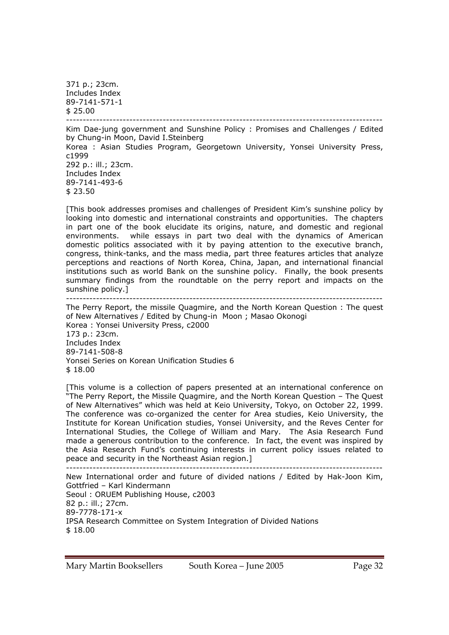371 p.; 23cm. Includes Index 89-7141-571-1  $$25.00$ 

----------------------------------------------------------------------------------------------- Kim Dae-jung government and Sunshine Policy : Promises and Challenges / Edited by Chung-in Moon, David I.Steinberg Korea : Asian Studies Program, Georgetown University, Yonsei University Press, c1999 292 p.: ill.; 23cm. Includes Index 89-7141-493-6 \$ 23.50

[This book addresses promises and challenges of President Kim's sunshine policy by looking into domestic and international constraints and opportunities. The chapters in part one of the book elucidate its origins, nature, and domestic and regional environments. while essays in part two deal with the dynamics of American domestic politics associated with it by paying attention to the executive branch, congress, think-tanks, and the mass media, part three features articles that analyze perceptions and reactions of North Korea, China, Japan, and international financial institutions such as world Bank on the sunshine policy. Finally, the book presents summary findings from the roundtable on the perry report and impacts on the sunshine policy.]

-----------------------------------------------------------------------------------------------

The Perry Report, the missile Quagmire, and the North Korean Question : The quest of New Alternatives / Edited by Chung-in Moon ; Masao Okonogi Korea : Yonsei University Press, c2000 173 p.: 23cm. Includes Index 89-7141-508-8 Yonsei Series on Korean Unification Studies 6 \$ 18.00

[This volume is a collection of papers presented at an international conference on "The Perry Report, the Missile Quagmire, and the North Korean Question – The Quest of New Alternatives" which was held at Keio University, Tokyo, on October 22, 1999. The conference was co-organized the center for Area studies, Keio University, the Institute for Korean Unification studies, Yonsei University, and the Reves Center for International Studies, the College of William and Mary. The Asia Research Fund made a generous contribution to the conference. In fact, the event was inspired by the Asia Research Fund's continuing interests in current policy issues related to peace and security in the Northeast Asian region.]

----------------------------------------------------------------------------------------------- New International order and future of divided nations / Edited by Hak-Joon Kim, Gottfried – Karl Kindermann Seoul : ORUEM Publishing House, c2003 82 p.: ill.; 27cm. 89-7778-171-x IPSA Research Committee on System Integration of Divided Nations \$ 18.00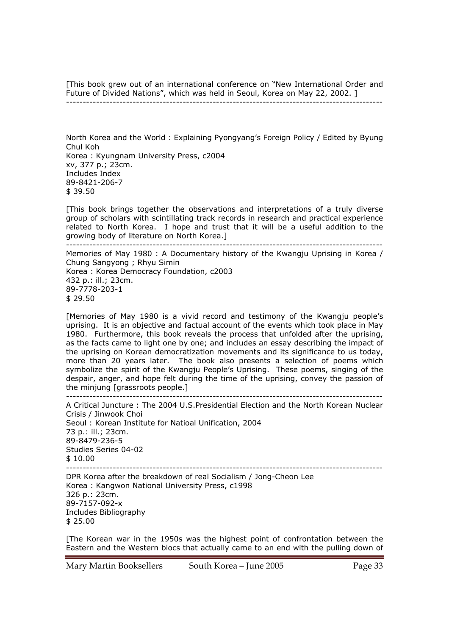[This book grew out of an international conference on "New International Order and Future of Divided Nations", which was held in Seoul, Korea on May 22, 2002. ] -----------------------------------------------------------------------------------------------

North Korea and the World : Explaining Pyongyang's Foreign Policy / Edited by Byung Chul Koh Korea : Kyungnam University Press, c2004 xv, 377 p.; 23cm. Includes Index 89-8421-206-7 \$ 39.50

[This book brings together the observations and interpretations of a truly diverse group of scholars with scintillating track records in research and practical experience related to North Korea. I hope and trust that it will be a useful addition to the growing body of literature on North Korea.]

----------------------------------------------------------------------------------------------- Memories of May 1980 : A Documentary history of the Kwangju Uprising in Korea / Chung Sangyong ; Rhyu Simin Korea : Korea Democracy Foundation, c2003 432 p.: ill.; 23cm. 89-7778-203-1 \$ 29.50

[Memories of May 1980 is a vivid record and testimony of the Kwangju people's uprising. It is an objective and factual account of the events which took place in May 1980. Furthermore, this book reveals the process that unfolded after the uprising, as the facts came to light one by one; and includes an essay describing the impact of the uprising on Korean democratization movements and its significance to us today, more than 20 years later. The book also presents a selection of poems which symbolize the spirit of the Kwangju People's Uprising. These poems, singing of the despair, anger, and hope felt during the time of the uprising, convey the passion of the minjung [grassroots people.]

----------------------------------------------------------------------------------------------- A Critical Juncture : The 2004 U.S.Presidential Election and the North Korean Nuclear Crisis / Jinwook Choi Seoul : Korean Institute for Natioal Unification, 2004 73 p.: ill.; 23cm. 89-8479-236-5 Studies Series 04-02 \$ 10.00 ----------------------------------------------------------------------------------------------- DPR Korea after the breakdown of real Socialism / Jong-Cheon Lee

Korea : Kangwon National University Press, c1998 326 p.: 23cm. 89-7157-092-x Includes Bibliography \$ 25.00

[The Korean war in the 1950s was the highest point of confrontation between the Eastern and the Western blocs that actually came to an end with the pulling down of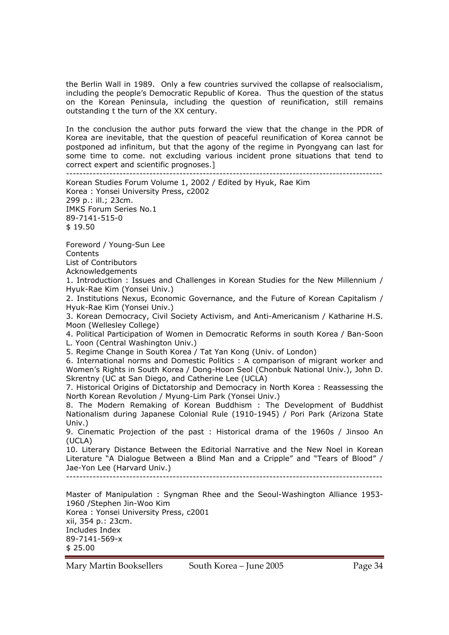the Berlin Wall in 1989. Only a few countries survived the collapse of realsocialism, including the people's Democratic Republic of Korea. Thus the question of the status on the Korean Peninsula, including the question of reunification, still remains outstanding t the turn of the XX century.

In the conclusion the author puts forward the view that the change in the PDR of Korea are inevitable, that the question of peaceful reunification of Korea cannot be postponed ad infinitum, but that the agony of the regime in Pyongyang can last for some time to come. not excluding various incident prone situations that tend to correct expert and scientific prognoses.] -----------------------------------------------------------------------------------------------

Korean Studies Forum Volume 1, 2002 / Edited by Hyuk, Rae Kim Korea : Yonsei University Press, c2002 299 p.: ill.; 23cm. IMKS Forum Series No.1 89-7141-515-0 \$ 19.50 Foreword / Young-Sun Lee **Contents** List of Contributors Acknowledgements 1. Introduction : Issues and Challenges in Korean Studies for the New Millennium / Hyuk-Rae Kim (Yonsei Univ.) 2. Institutions Nexus, Economic Governance, and the Future of Korean Capitalism / Hyuk-Rae Kim (Yonsei Univ.) 3. Korean Democracy, Civil Society Activism, and Anti-Americanism / Katharine H.S. Moon (Wellesley College) 4. Political Participation of Women in Democratic Reforms in south Korea / Ban-Soon L. Yoon (Central Washington Univ.)

5. Regime Change in South Korea / Tat Yan Kong (Univ. of London)

6. International norms and Domestic Politics : A comparison of migrant worker and Women's Rights in South Korea / Dong-Hoon Seol (Chonbuk National Univ.), John D. Skrentny (UC at San Diego, and Catherine Lee (UCLA)

7. Historical Origins of Dictatorship and Democracy in North Korea : Reassessing the North Korean Revolution / Myung-Lim Park (Yonsei Univ.)

8. The Modern Remaking of Korean Buddhism : The Development of Buddhist Nationalism during Japanese Colonial Rule (1910-1945) / Pori Park (Arizona State Univ.)

9. Cinematic Projection of the past : Historical drama of the 1960s / Jinsoo An (UCLA)

10. Literary Distance Between the Editorial Narrative and the New Noel in Korean Literature "A Dialogue Between a Blind Man and a Cripple" and "Tears of Blood" / Jae-Yon Lee (Harvard Univ.)

-----------------------------------------------------------------------------------------------

Master of Manipulation : Syngman Rhee and the Seoul-Washington Alliance 1953- 1960 /Stephen Jin-Woo Kim Korea : Yonsei University Press, c2001 xii, 354 p.: 23cm. Includes Index 89-7141-569-x \$ 25.00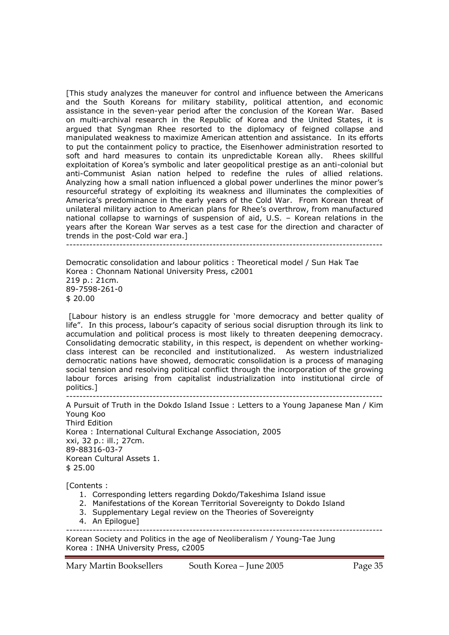[This study analyzes the maneuver for control and influence between the Americans and the South Koreans for military stability, political attention, and economic assistance in the seven-year period after the conclusion of the Korean War. Based on multi-archival research in the Republic of Korea and the United States, it is argued that Syngman Rhee resorted to the diplomacy of feigned collapse and manipulated weakness to maximize American attention and assistance. In its efforts to put the containment policy to practice, the Eisenhower administration resorted to soft and hard measures to contain its unpredictable Korean ally. Rhees skillful exploitation of Korea's symbolic and later geopolitical prestige as an anti-colonial but anti-Communist Asian nation helped to redefine the rules of allied relations. Analyzing how a small nation influenced a global power underlines the minor power's resourceful strategy of exploiting its weakness and illuminates the complexities of America's predominance in the early years of the Cold War. From Korean threat of unilateral military action to American plans for Rhee's overthrow, from manufactured national collapse to warnings of suspension of aid, U.S. – Korean relations in the years after the Korean War serves as a test case for the direction and character of trends in the post-Cold war era.]

-----------------------------------------------------------------------------------------------

Democratic consolidation and labour politics : Theoretical model / Sun Hak Tae Korea : Chonnam National University Press, c2001 219 p.: 21cm. 89-7598-261-0 \$ 20.00

 [Labour history is an endless struggle for 'more democracy and better quality of life". In this process, labour's capacity of serious social disruption through its link to accumulation and political process is most likely to threaten deepening democracy. Consolidating democratic stability, in this respect, is dependent on whether workingclass interest can be reconciled and institutionalized. As western industrialized democratic nations have showed, democratic consolidation is a process of managing social tension and resolving political conflict through the incorporation of the growing labour forces arising from capitalist industrialization into institutional circle of politics.]

----------------------------------------------------------------------------------------------- A Pursuit of Truth in the Dokdo Island Issue : Letters to a Young Japanese Man / Kim Young Koo Third Edition Korea : International Cultural Exchange Association, 2005 xxi, 32 p.: ill.; 27cm. 89-88316-03-7 Korean Cultural Assets 1. \$ 25.00

[Contents :

- 1. Corresponding letters regarding Dokdo/Takeshima Island issue
- 2. Manifestations of the Korean Territorial Sovereignty to Dokdo Island
- 3. Supplementary Legal review on the Theories of Sovereignty
- 4. An Epilogue]

Korean Society and Politics in the age of Neoliberalism / Young-Tae Jung Korea : INHA University Press, c2005

Mary Martin Booksellers South Korea – June 2005 Page 35

-----------------------------------------------------------------------------------------------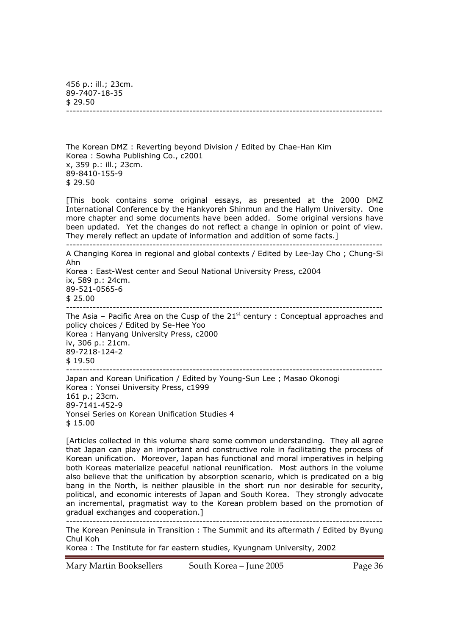456 p.: ill.; 23cm. 89-7407-18-35  $$29.50$ -----------------------------------------------------------------------------------------------

The Korean DMZ : Reverting beyond Division / Edited by Chae-Han Kim Korea : Sowha Publishing Co., c2001 x, 359 p.: ill.; 23cm. 89-8410-155-9 \$ 29.50

[This book contains some original essays, as presented at the 2000 DMZ International Conference by the Hankyoreh Shinmun and the Hallym University. One more chapter and some documents have been added. Some original versions have been updated. Yet the changes do not reflect a change in opinion or point of view. They merely reflect an update of information and addition of some facts.]

----------------------------------------------------------------------------------------------- A Changing Korea in regional and global contexts / Edited by Lee-Jay Cho ; Chung-Si Ahn

Korea : East-West center and Seoul National University Press, c2004 ix, 589 p.: 24cm. 89-521-0565-6 \$ 25.00 -----------------------------------------------------------------------------------------------

The Asia – Pacific Area on the Cusp of the  $21<sup>st</sup>$  century : Conceptual approaches and policy choices / Edited by Se-Hee Yoo Korea : Hanyang University Press, c2000 iv, 306 p.: 21cm. 89-7218-124-2 \$ 19.50 -----------------------------------------------------------------------------------------------

Japan and Korean Unification / Edited by Young-Sun Lee ; Masao Okonogi Korea : Yonsei University Press, c1999 161 p.; 23cm. 89-7141-452-9 Yonsei Series on Korean Unification Studies 4 \$ 15.00

[Articles collected in this volume share some common understanding. They all agree that Japan can play an important and constructive role in facilitating the process of Korean unification. Moreover, Japan has functional and moral imperatives in helping both Koreas materialize peaceful national reunification. Most authors in the volume also believe that the unification by absorption scenario, which is predicated on a big bang in the North, is neither plausible in the short run nor desirable for security, political, and economic interests of Japan and South Korea. They strongly advocate an incremental, pragmatist way to the Korean problem based on the promotion of gradual exchanges and cooperation.]

----------------------------------------------------------------------------------------------- The Korean Peninsula in Transition : The Summit and its aftermath / Edited by Byung Chul Koh

Korea : The Institute for far eastern studies, Kyungnam University, 2002

Mary Martin Booksellers South Korea – June 2005 Page 36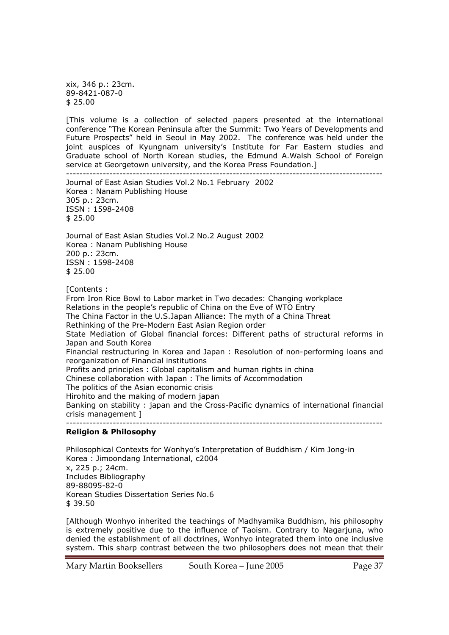xix, 346 p.: 23cm. 89-8421-087-0 \$ 25.00

[This volume is a collection of selected papers presented at the international conference "The Korean Peninsula after the Summit: Two Years of Developments and Future Prospects" held in Seoul in May 2002. The conference was held under the joint auspices of Kyungnam university's Institute for Far Eastern studies and Graduate school of North Korean studies, the Edmund A.Walsh School of Foreign service at Georgetown university, and the Korea Press Foundation.]

----------------------------------------------------------------------------------------------- Journal of East Asian Studies Vol.2 No.1 February 2002 Korea : Nanam Publishing House 305 p.: 23cm. ISSN : 1598-2408 \$ 25.00 Journal of East Asian Studies Vol.2 No.2 August 2002 Korea : Nanam Publishing House 200 p.: 23cm. ISSN : 1598-2408 \$ 25.00 [Contents : From Iron Rice Bowl to Labor market in Two decades: Changing workplace Relations in the people's republic of China on the Eve of WTO Entry The China Factor in the U.S.Japan Alliance: The myth of a China Threat Rethinking of the Pre-Modern East Asian Region order State Mediation of Global financial forces: Different paths of structural reforms in Japan and South Korea Financial restructuring in Korea and Japan : Resolution of non-performing loans and reorganization of Financial institutions Profits and principles : Global capitalism and human rights in china Chinese collaboration with Japan : The limits of Accommodation The politics of the Asian economic crisis Hirohito and the making of modern japan Banking on stability : japan and the Cross-Pacific dynamics of international financial crisis management ] -----------------------------------------------------------------------------------------------

#### **Religion & Philosophy**

Philosophical Contexts for Wonhyo's Interpretation of Buddhism / Kim Jong-in Korea : Jimoondang International, c2004 x, 225 p.; 24cm. Includes Bibliography 89-88095-82-0 Korean Studies Dissertation Series No.6 \$ 39.50

[Although Wonhyo inherited the teachings of Madhyamika Buddhism, his philosophy is extremely positive due to the influence of Taoism. Contrary to Nagarjuna, who denied the establishment of all doctrines, Wonhyo integrated them into one inclusive system. This sharp contrast between the two philosophers does not mean that their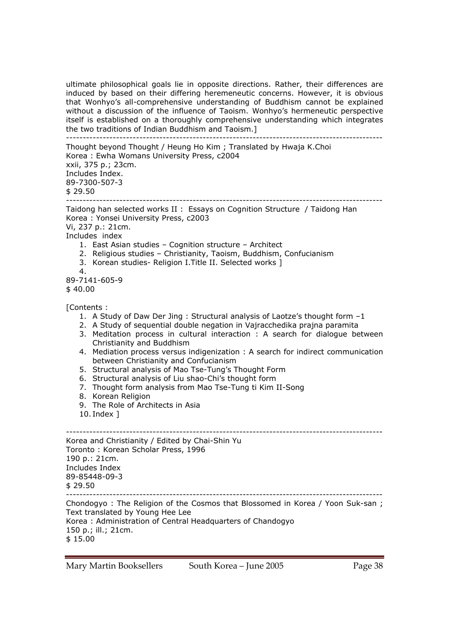ultimate philosophical goals lie in opposite directions. Rather, their differences are induced by based on their differing heremeneutic concerns. However, it is obvious that Wonhyo's all-comprehensive understanding of Buddhism cannot be explained without a discussion of the influence of Taoism. Wonhyo's hermeneutic perspective itself is established on a thoroughly comprehensive understanding which integrates the two traditions of Indian Buddhism and Taoism.]

----------------------------------------------------------------------------------------------- Thought beyond Thought / Heung Ho Kim ; Translated by Hwaja K.Choi Korea : Ewha Womans University Press, c2004 xxii, 375 p.; 23cm. Includes Index. 89-7300-507-3 \$ 29.50 ----------------------------------------------------------------------------------------------- Taidong han selected works II : Essays on Cognition Structure / Taidong Han Korea : Yonsei University Press, c2003 Vi, 237 p.: 21cm. Includes index 1. East Asian studies – Cognition structure – Architect 2. Religious studies – Christianity, Taoism, Buddhism, Confucianism 3. Korean studies- Religion I.Title II. Selected works ] 4. 89-7141-605-9 \$ 40.00 [Contents : 1. A Study of Daw Der Jing : Structural analysis of Laotze's thought form –1 2. A Study of sequential double negation in Vajracchedika prajna paramita 3. Meditation process in cultural interaction : A search for dialogue between Christianity and Buddhism

- 4. Mediation process versus indigenization : A search for indirect communication between Christianity and Confucianism
- 5. Structural analysis of Mao Tse-Tung's Thought Form
- 6. Structural analysis of Liu shao-Chi's thought form
- 7. Thought form analysis from Mao Tse-Tung ti Kim II-Song
- 8. Korean Religion
- 9. The Role of Architects in Asia
- 10. Index ]

----------------------------------------------------------------------------------------------- Korea and Christianity / Edited by Chai-Shin Yu Toronto : Korean Scholar Press, 1996 190 p.: 21cm. Includes Index 89-85448-09-3  $$29.50$ ----------------------------------------------------------------------------------------------- Chondogyo : The Religion of the Cosmos that Blossomed in Korea / Yoon Suk-san ; Text translated by Young Hee Lee Korea : Administration of Central Headquarters of Chandogyo 150 p.; ill.; 21cm. \$ 15.00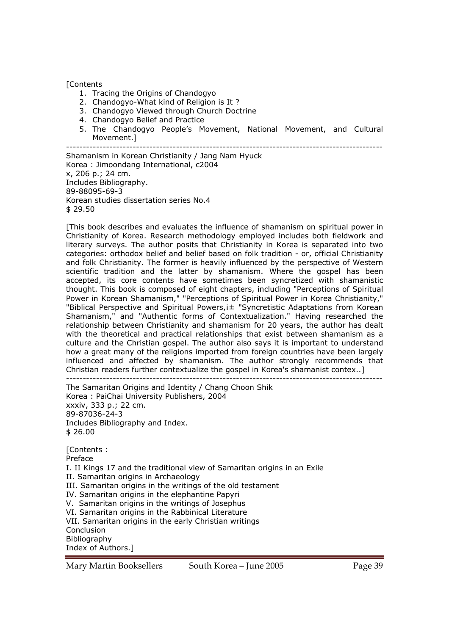### [Contents

- 1. Tracing the Origins of Chandogyo
- 2. Chandogyo-What kind of Religion is It ?
- 3. Chandogyo Viewed through Church Doctrine
- 4. Chandogyo Belief and Practice
- 5. The Chandogyo People's Movement, National Movement, and Cultural Movement.]

-----------------------------------------------------------------------------------------------

Shamanism in Korean Christianity / Jang Nam Hyuck Korea : Jimoondang International, c2004 x, 206 p.; 24 cm. Includes Bibliography. 89-88095-69-3 Korean studies dissertation series No.4 \$ 29.50

[This book describes and evaluates the influence of shamanism on spiritual power in Christianity of Korea. Research methodology employed includes both fieldwork and literary surveys. The author posits that Christianity in Korea is separated into two categories: orthodox belief and belief based on folk tradition - or, official Christianity and folk Christianity. The former is heavily influenced by the perspective of Western scientific tradition and the latter by shamanism. Where the gospel has been accepted, its core contents have sometimes been syncretized with shamanistic thought. This book is composed of eight chapters, including "Perceptions of Spiritual Power in Korean Shamanism," "Perceptions of Spiritual Power in Korea Christianity," "Biblical Perspective and Spiritual Powers,¡± "Syncretistic Adaptations from Korean Shamanism," and "Authentic forms of Contextualization." Having researched the relationship between Christianity and shamanism for 20 years, the author has dealt with the theoretical and practical relationships that exist between shamanism as a culture and the Christian gospel. The author also says it is important to understand how a great many of the religions imported from foreign countries have been largely influenced and affected by shamanism. The author strongly recommends that Christian readers further contextualize the gospel in Korea's shamanist contex..] -----------------------------------------------------------------------------------------------

The Samaritan Origins and Identity / Chang Choon Shik Korea : PaiChai University Publishers, 2004 xxxiv, 333 p.; 22 cm. 89-87036-24-3 Includes Bibliography and Index. \$ 26.00

[Contents : Preface I. II Kings 17 and the traditional view of Samaritan origins in an Exile II. Samaritan origins in Archaeology III. Samaritan origins in the writings of the old testament IV. Samaritan origins in the elephantine Papyri V. Samaritan origins in the writings of Josephus VI. Samaritan origins in the Rabbinical Literature VII. Samaritan origins in the early Christian writings Conclusion Bibliography Index of Authors.]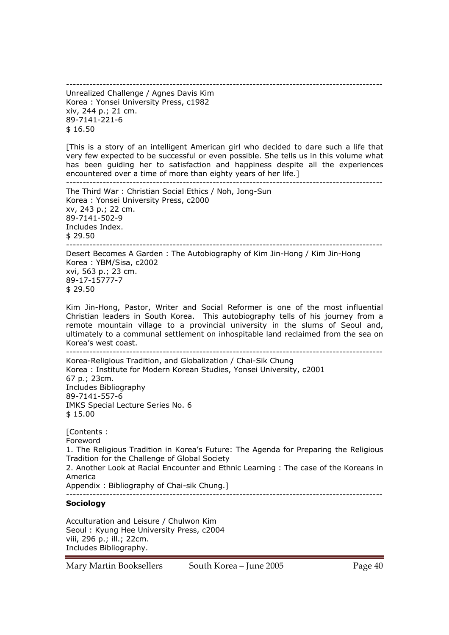----------------------------------------------------------------------------------------------- Unrealized Challenge / Agnes Davis Kim Korea : Yonsei University Press, c1982 xiv, 244 p.; 21 cm. 89-7141-221-6 \$ 16.50

[This is a story of an intelligent American girl who decided to dare such a life that very few expected to be successful or even possible. She tells us in this volume what has been guiding her to satisfaction and happiness despite all the experiences encountered over a time of more than eighty years of her life.] -----------------------------------------------------------------------------------------------

The Third War : Christian Social Ethics / Noh, Jong-Sun Korea : Yonsei University Press, c2000 xv, 243 p.; 22 cm. 89-7141-502-9 Includes Index. \$ 29.50 -----------------------------------------------------------------------------------------------

Desert Becomes A Garden : The Autobiography of Kim Jin-Hong / Kim Jin-Hong Korea : YBM/Sisa, c2002 xvi, 563 p.; 23 cm. 89-17-15777-7 \$ 29.50

Kim Jin-Hong, Pastor, Writer and Social Reformer is one of the most influential Christian leaders in South Korea. This autobiography tells of his journey from a remote mountain village to a provincial university in the slums of Seoul and, ultimately to a communal settlement on inhospitable land reclaimed from the sea on Korea's west coast.<br>----------------------

----------------------------------------------------------------------------------------------- Korea-Religious Tradition, and Globalization / Chai-Sik Chung Korea : Institute for Modern Korean Studies, Yonsei University, c2001 67 p.; 23cm. Includes Bibliography 89-7141-557-6 IMKS Special Lecture Series No. 6 \$ 15.00

[Contents : Foreword 1. The Religious Tradition in Korea's Future: The Agenda for Preparing the Religious Tradition for the Challenge of Global Society 2. Another Look at Racial Encounter and Ethnic Learning : The case of the Koreans in America Appendix : Bibliography of Chai-sik Chung.] -----------------------------------------------------------------------------------------------

### **Sociology**

Acculturation and Leisure / Chulwon Kim Seoul : Kyung Hee University Press, c2004 viii, 296 p.; ill.; 22cm. Includes Bibliography.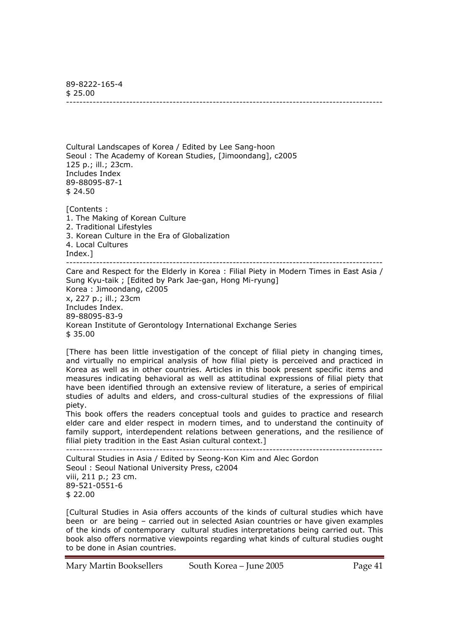89-8222-165-4  $$25.00$ -----------------------------------------------------------------------------------------------

Cultural Landscapes of Korea / Edited by Lee Sang-hoon Seoul : The Academy of Korean Studies, [Jimoondang], c2005 125 p.; ill.; 23cm. Includes Index 89-88095-87-1 \$ 24.50

[Contents : 1. The Making of Korean Culture 2. Traditional Lifestyles 3. Korean Culture in the Era of Globalization 4. Local Cultures Index.] -----------------------------------------------------------------------------------------------

Care and Respect for the Elderly in Korea : Filial Piety in Modern Times in East Asia / Sung Kyu-taik ; [Edited by Park Jae-gan, Hong Mi-ryung] Korea : Jimoondang, c2005 x, 227 p.; ill.; 23cm Includes Index. 89-88095-83-9 Korean Institute of Gerontology International Exchange Series \$ 35.00

[There has been little investigation of the concept of filial piety in changing times, and virtually no empirical analysis of how filial piety is perceived and practiced in Korea as well as in other countries. Articles in this book present specific items and measures indicating behavioral as well as attitudinal expressions of filial piety that have been identified through an extensive review of literature, a series of empirical studies of adults and elders, and cross-cultural studies of the expressions of filial piety.

This book offers the readers conceptual tools and guides to practice and research elder care and elder respect in modern times, and to understand the continuity of family support, interdependent relations between generations, and the resilience of filial piety tradition in the East Asian cultural context.]

----------------------------------------------------------------------------------------------- Cultural Studies in Asia / Edited by Seong-Kon Kim and Alec Gordon Seoul : Seoul National University Press, c2004 viii, 211 p.; 23 cm. 89-521-0551-6 \$ 22.00

[Cultural Studies in Asia offers accounts of the kinds of cultural studies which have been or are being – carried out in selected Asian countries or have given examples of the kinds of contemporary cultural studies interpretations being carried out. This book also offers normative viewpoints regarding what kinds of cultural studies ought to be done in Asian countries.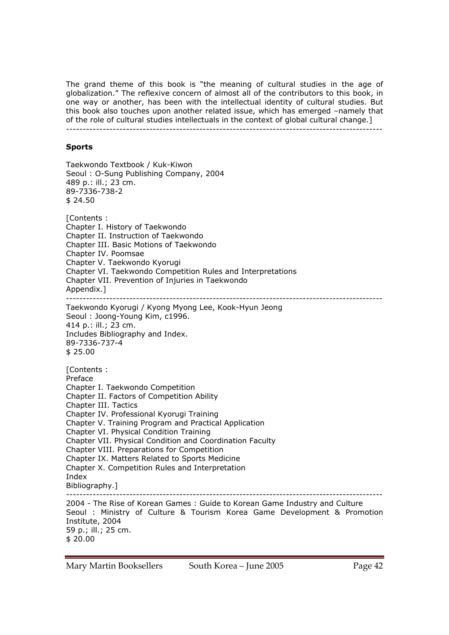The grand theme of this book is "the meaning of cultural studies in the age of globalization." The reflexive concern of almost all of the contributors to this book, in one way or another, has been with the intellectual identity of cultural studies. But this book also touches upon another related issue, which has emerged –namely that of the role of cultural studies intellectuals in the context of global cultural change.] -----------------------------------------------------------------------------------------------

### **Sports**

Taekwondo Textbook / Kuk-Kiwon Seoul : O-Sung Publishing Company, 2004 489 p.: ill.; 23 cm. 89-7336-738-2 \$ 24.50 [Contents : Chapter I. History of Taekwondo Chapter II. Instruction of Taekwondo Chapter III. Basic Motions of Taekwondo Chapter IV. Poomsae Chapter V. Taekwondo Kyorugi Chapter VI. Taekwondo Competition Rules and Interpretations Chapter VII. Prevention of Injuries in Taekwondo Appendix.] ----------------------------------------------------------------------------------------------- Taekwondo Kyorugi / Kyong Myong Lee, Kook-Hyun Jeong Seoul : Joong-Young Kim, c1996. 414 p.: ill.; 23 cm. Includes Bibliography and Index. 89-7336-737-4 \$ 25.00 [Contents : Preface Chapter I. Taekwondo Competition Chapter II. Factors of Competition Ability Chapter III. Tactics Chapter IV. Professional Kyorugi Training Chapter V. Training Program and Practical Application Chapter VI. Physical Condition Training Chapter VII. Physical Condition and Coordination Faculty Chapter VIII. Preparations for Competition Chapter IX. Matters Related to Sports Medicine Chapter X. Competition Rules and Interpretation Index Bibliography.] ----------------------------------------------------------------------------------------------- 2004 - The Rise of Korean Games : Guide to Korean Game Industry and Culture Seoul : Ministry of Culture & Tourism Korea Game Development & Promotion Institute, 2004 59 p.; ill.; 25 cm. \$ 20.00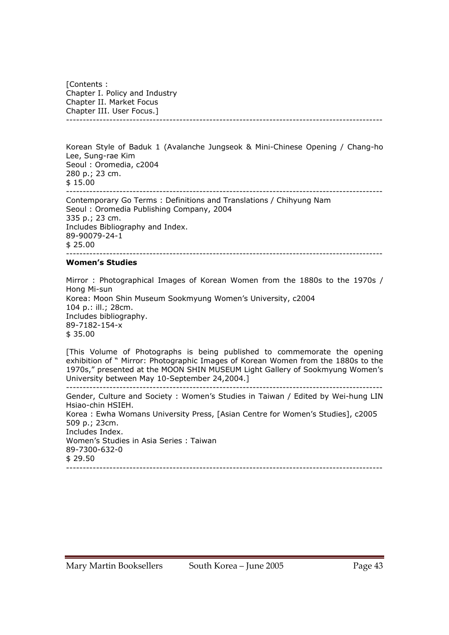[Contents : Chapter I. Policy and Industry Chapter II. Market Focus Chapter III. User Focus.] -----------------------------------------------------------------------------------------------

Korean Style of Baduk 1 (Avalanche Jungseok & Mini-Chinese Opening / Chang-ho Lee, Sung-rae Kim Seoul : Oromedia, c2004 280 p.; 23 cm. \$ 15.00 ----------------------------------------------------------------------------------------------- Contemporary Go Terms : Definitions and Translations / Chihyung Nam Seoul : Oromedia Publishing Company, 2004

335 p.; 23 cm. Includes Bibliography and Index. 89-90079-24-1 \$ 25.00 -----------------------------------------------------------------------------------------------

#### **Women's Studies**

Mirror : Photographical Images of Korean Women from the 1880s to the 1970s / Hong Mi-sun Korea: Moon Shin Museum Sookmyung Women's University, c2004 104 p.: ill.; 28cm. Includes bibliography. 89-7182-154-x \$ 35.00

[This Volume of Photographs is being published to commemorate the opening exhibition of " Mirror: Photographic Images of Korean Women from the 1880s to the 1970s," presented at the MOON SHIN MUSEUM Light Gallery of Sookmyung Women's University between May 10-September 24,2004.]

----------------------------------------------------------------------------------------------- Gender, Culture and Society : Women's Studies in Taiwan / Edited by Wei-hung LIN Hsiao-chin HSIEH. Korea : Ewha Womans University Press, [Asian Centre for Women's Studies], c2005 509 p.; 23cm. Includes Index. Women's Studies in Asia Series : Taiwan 89-7300-632-0 \$ 29.50 -----------------------------------------------------------------------------------------------